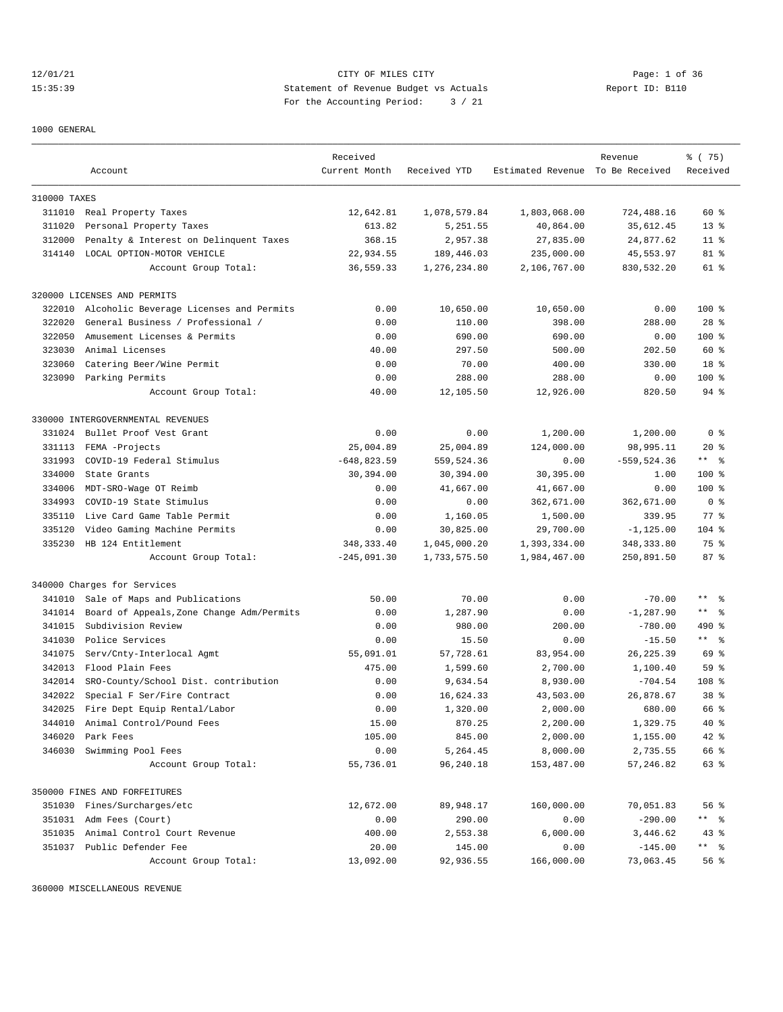12/01/21 CITY OF MILES CITY Page: 1 of 36 15:35:39 Statement of Revenue Budget vs Actuals Report ID: B110 For the Accounting Period: 3 / 21

1000 GENERAL

|              |                                                              | Received       |              |                                  | Revenue        | % (75)         |
|--------------|--------------------------------------------------------------|----------------|--------------|----------------------------------|----------------|----------------|
|              | Account                                                      | Current Month  | Received YTD | Estimated Revenue To Be Received |                | Received       |
|              |                                                              |                |              |                                  |                |                |
| 310000 TAXES |                                                              |                |              |                                  |                |                |
|              | 311010 Real Property Taxes                                   | 12,642.81      | 1,078,579.84 | 1,803,068.00                     | 724,488.16     | $60*$          |
| 311020       | Personal Property Taxes                                      | 613.82         | 5,251.55     | 40,864.00                        | 35,612.45      | $13*$          |
| 312000       | Penalty & Interest on Delinquent Taxes                       | 368.15         | 2,957.38     | 27,835.00                        | 24,877.62      | $11$ %         |
|              | 314140 LOCAL OPTION-MOTOR VEHICLE                            | 22,934.55      | 189,446.03   | 235,000.00                       | 45,553.97      | 81 %           |
|              | Account Group Total:                                         | 36,559.33      | 1,276,234.80 | 2,106,767.00                     | 830,532.20     | 61 %           |
|              | 320000 LICENSES AND PERMITS                                  |                |              |                                  |                |                |
| 322010       | Alcoholic Beverage Licenses and Permits                      | 0.00           | 10,650.00    | 10,650.00                        | 0.00           | $100$ %        |
| 322020       | General Business / Professional /                            | 0.00           | 110.00       | 398.00                           | 288.00         | $28$ %         |
| 322050       | Amusement Licenses & Permits                                 | 0.00           | 690.00       | 690.00                           | 0.00           | $100$ %        |
| 323030       | Animal Licenses                                              | 40.00          | 297.50       | 500.00                           | 202.50         | 60 %           |
| 323060       | Catering Beer/Wine Permit                                    | 0.00           | 70.00        | 400.00                           | 330.00         | 18 %           |
| 323090       | Parking Permits                                              | 0.00           | 288.00       | 288.00                           | 0.00           | $100$ %        |
|              | Account Group Total:                                         | 40.00          | 12,105.50    | 12,926.00                        | 820.50         | $94$ %         |
|              |                                                              |                |              |                                  |                |                |
|              | 330000 INTERGOVERNMENTAL REVENUES<br>Bullet Proof Vest Grant | 0.00           | 0.00         |                                  |                | 0 <sup>8</sup> |
| 331024       |                                                              |                |              | 1,200.00<br>124,000.00           | 1,200.00       |                |
| 331113       | FEMA -Projects                                               | 25,004.89      | 25,004.89    |                                  | 98,995.11      | $20*$          |
| 331993       | COVID-19 Federal Stimulus                                    | $-648, 823.59$ | 559,524.36   | 0.00                             | $-559, 524.36$ | $***$ $ -$     |
| 334000       | State Grants                                                 | 30,394.00      | 30,394.00    | 30,395.00                        | 1.00           | $100$ %        |
| 334006       | MDT-SRO-Wage OT Reimb                                        | 0.00           | 41,667.00    | 41,667.00                        | 0.00           | 100 %          |
| 334993       | COVID-19 State Stimulus                                      | 0.00           | 0.00         | 362,671.00                       | 362,671.00     | 0 <sup>8</sup> |
| 335110       | Live Card Game Table Permit                                  | 0.00           | 1,160.05     | 1,500.00                         | 339.95         | $77$ $%$       |
| 335120       | Video Gaming Machine Permits                                 | 0.00           | 30,825.00    | 29,700.00                        | $-1, 125.00$   | $104$ %        |
| 335230       | HB 124 Entitlement                                           | 348, 333.40    | 1,045,000.20 | 1,393,334.00                     | 348, 333.80    | 75 %           |
|              | Account Group Total:                                         | $-245,091.30$  | 1,733,575.50 | 1,984,467.00                     | 250,891.50     | 87%            |
|              | 340000 Charges for Services                                  |                |              |                                  |                |                |
| 341010       | Sale of Maps and Publications                                | 50.00          | 70.00        | 0.00                             | $-70.00$       | ** 응           |
| 341014       | Board of Appeals, Zone Change Adm/Permits                    | 0.00           | 1,287.90     | 0.00                             | $-1, 287.90$   | $***$ $ -$     |
| 341015       | Subdivision Review                                           | 0.00           | 980.00       | 200.00                           | $-780.00$      | 490 %          |
| 341030       | Police Services                                              | 0.00           | 15.50        | 0.00                             | $-15.50$       | $***$ $ -$     |
| 341075       | Serv/Cnty-Interlocal Agmt                                    | 55,091.01      | 57,728.61    | 83,954.00                        | 26, 225.39     | 69 %           |
| 342013       | Flood Plain Fees                                             | 475.00         | 1,599.60     | 2,700.00                         | 1,100.40       | 59 %           |
| 342014       | SRO-County/School Dist. contribution                         | 0.00           | 9,634.54     | 8,930.00                         | $-704.54$      | 108 %          |
| 342022       | Special F Ser/Fire Contract                                  | 0.00           | 16,624.33    | 43,503.00                        | 26,878.67      | 38 %           |
| 342025       | Fire Dept Equip Rental/Labor                                 | 0.00           | 1,320.00     | 2,000.00                         | 680.00         | 66 %           |
| 344010       | Animal Control/Pound Fees                                    | 15.00          | 870.25       | 2,200.00                         | 1,329.75       | 40 %           |
| 346020       | Park Fees                                                    | 105.00         | 845.00       | 2,000.00                         | 1,155.00       | 42 %           |
| 346030       | Swimming Pool Fees                                           | 0.00           | 5,264.45     | 8,000.00                         | 2,735.55       | 66 %           |
|              | Account Group Total:                                         | 55,736.01      | 96,240.18    | 153,487.00                       | 57,246.82      | 63 %           |
|              | 350000 FINES AND FORFEITURES                                 |                |              |                                  |                |                |
| 351030       | Fines/Surcharges/etc                                         | 12,672.00      | 89,948.17    | 160,000.00                       | 70,051.83      | 56%            |
| 351031       | Adm Fees (Court)                                             | 0.00           | 290.00       | 0.00                             | $-290.00$      | ** %           |
| 351035       | Animal Control Court Revenue                                 | 400.00         | 2,553.38     | 6,000.00                         | 3,446.62       | $43$ $%$       |
|              | 351037 Public Defender Fee                                   | 20.00          | 145.00       | 0.00                             | $-145.00$      | ** %           |
|              | Account Group Total:                                         | 13,092.00      | 92,936.55    | 166,000.00                       | 73,063.45      | 56 %           |

360000 MISCELLANEOUS REVENUE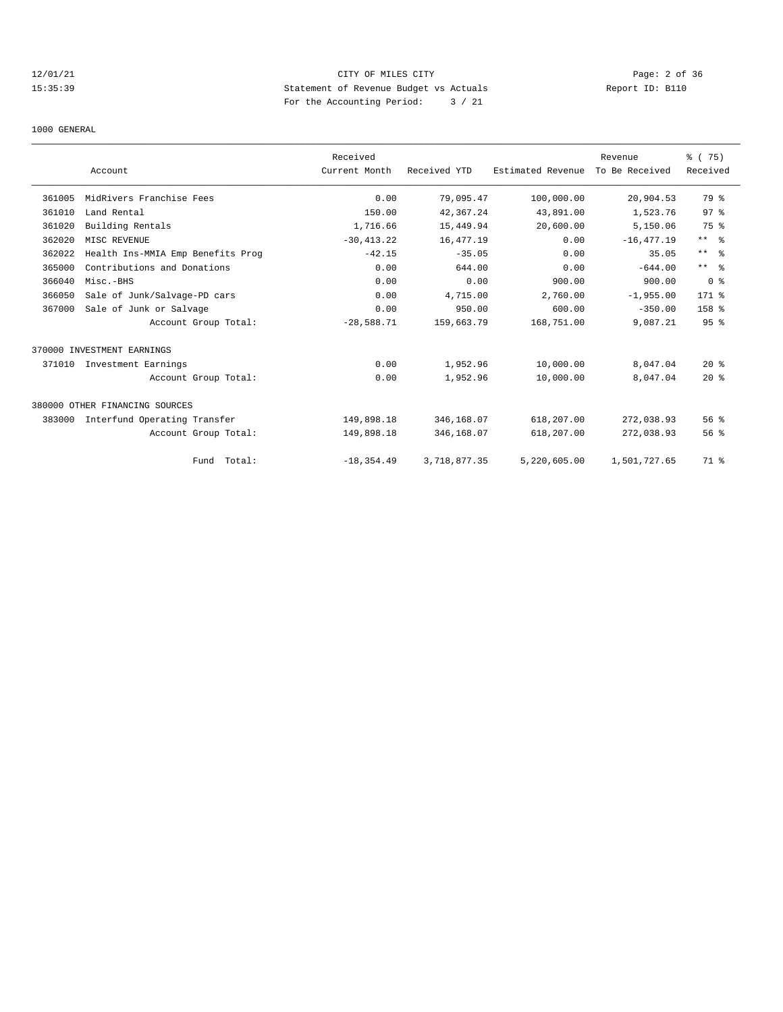# 12/01/21 CITY OF MILES CITY Page: 2 of 36 15:35:39 Statement of Revenue Budget vs Actuals Report ID: B110 For the Accounting Period: 3 / 21

#### 1000 GENERAL

|        |                                   | Received      |              |                   | Revenue        | % (75)           |
|--------|-----------------------------------|---------------|--------------|-------------------|----------------|------------------|
|        | Account                           | Current Month | Received YTD | Estimated Revenue | To Be Received | Received         |
| 361005 | MidRivers Franchise Fees          | 0.00          | 79,095.47    | 100,000.00        | 20,904.53      | 79 %             |
| 361010 | Land Rental                       | 150.00        | 42, 367.24   | 43,891.00         | 1,523.76       | 97%              |
| 361020 | Building Rentals                  | 1,716.66      | 15,449.94    | 20,600.00         | 5,150.06       | 75 %             |
| 362020 | MISC REVENUE                      | $-30, 413.22$ | 16,477.19    | 0.00              | $-16, 477.19$  | $***$ $ -$       |
| 362022 | Health Ins-MMIA Emp Benefits Prog | $-42.15$      | $-35.05$     | 0.00              | 35.05          | $***$ $ -$       |
| 365000 | Contributions and Donations       | 0.00          | 644.00       | 0.00              | $-644.00$      | $***$ $ -$       |
| 366040 | Misc.-BHS                         | 0.00          | 0.00         | 900.00            | 900.00         | 0 <sup>8</sup>   |
| 366050 | Sale of Junk/Salvage-PD cars      | 0.00          | 4,715.00     | 2,760.00          | $-1,955.00$    | 171 %            |
| 367000 | Sale of Junk or Salvage           | 0.00          | 950.00       | 600.00            | $-350.00$      | 158 <sup>8</sup> |
|        | Account Group Total:              | $-28,588.71$  | 159,663.79   | 168,751.00        | 9,087.21       | 95 <sup>8</sup>  |
|        | 370000 INVESTMENT EARNINGS        |               |              |                   |                |                  |
| 371010 | Investment Earnings               | 0.00          | 1,952.96     | 10,000.00         | 8,047.04       | $20*$            |
|        | Account Group Total:              | 0.00          | 1,952.96     | 10,000.00         | 8,047.04       | $20*$            |
|        | 380000 OTHER FINANCING SOURCES    |               |              |                   |                |                  |
| 383000 | Interfund Operating Transfer      | 149,898.18    | 346,168.07   | 618,207.00        | 272,038.93     | 56%              |
|        | Account Group Total:              | 149,898.18    | 346,168.07   | 618,207.00        | 272,038.93     | 56 %             |
|        | Fund Total:                       | $-18, 354.49$ | 3,718,877.35 | 5,220,605.00      | 1,501,727.65   | 71 %             |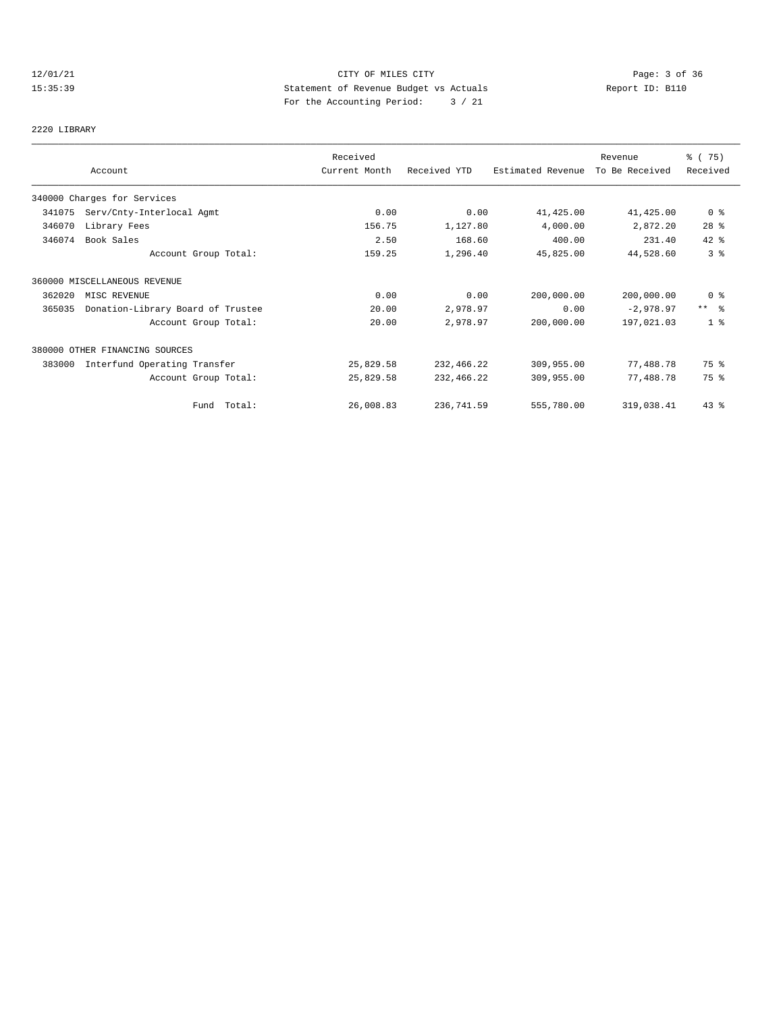# 12/01/21 CITY OF MILES CITY Page: 3 of 36 15:35:39 Statement of Revenue Budget vs Actuals Report ID: B110 For the Accounting Period: 3 / 21

#### 2220 LIBRARY

|        |                                   | Received      |              |                   | Revenue        | % (75)                  |
|--------|-----------------------------------|---------------|--------------|-------------------|----------------|-------------------------|
|        | Account                           | Current Month | Received YTD | Estimated Revenue | To Be Received | Received                |
|        | 340000 Charges for Services       |               |              |                   |                |                         |
| 341075 | Serv/Cnty-Interlocal Agmt         | 0.00          | 0.00         | 41,425.00         | 41,425.00      | $0$ %                   |
| 346070 | Library Fees                      | 156.75        | 1,127.80     | 4,000.00          | 2,872.20       | $28$ %                  |
| 346074 | Book Sales                        | 2.50          | 168.60       | 400.00            | 231.40         | 42 %                    |
|        | Account Group Total:              | 159.25        | 1,296.40     | 45,825.00         | 44,528.60      | 3%                      |
|        | 360000 MISCELLANEOUS REVENUE      |               |              |                   |                |                         |
| 362020 | MISC REVENUE                      | 0.00          | 0.00         | 200,000.00        | 200,000.00     | 0 <sup>8</sup>          |
| 365035 | Donation-Library Board of Trustee | 20.00         | 2,978.97     | 0.00              | $-2,978.97$    | $***$ $=$ $\frac{6}{5}$ |
|        | Account Group Total:              | 20.00         | 2,978.97     | 200,000.00        | 197,021.03     | 1 <sup>8</sup>          |
|        | 380000 OTHER FINANCING SOURCES    |               |              |                   |                |                         |
| 383000 | Interfund Operating Transfer      | 25,829.58     | 232,466.22   | 309,955.00        | 77,488.78      | 75 %                    |
|        | Account Group Total:              | 25,829.58     | 232,466.22   | 309,955.00        | 77,488.78      | 75 %                    |
|        | Fund Total:                       | 26,008.83     | 236,741.59   | 555,780.00        | 319,038.41     | $43$ $%$                |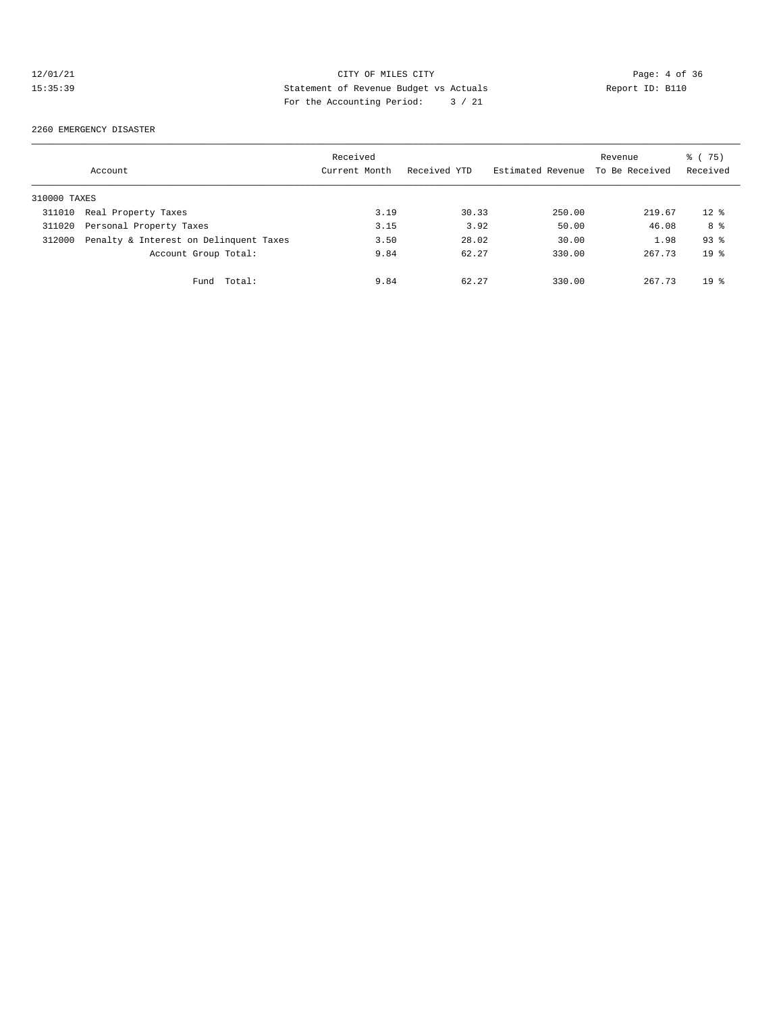# 12/01/21 CITY OF MILES CITY CHEREN CITY Page: 4 of 36<br>15:35:39 Statement of Revenue Budget vs Actuals Report ID: B110 15:35:39 Statement of Revenue Budget vs Actuals Report ID: B110 For the Accounting Period: 3 / 21

#### 2260 EMERGENCY DISASTER

|              | Account                                | Received<br>Current Month | Received YTD | Estimated Revenue | Revenue<br>To Be Received | % (75)<br>Received |
|--------------|----------------------------------------|---------------------------|--------------|-------------------|---------------------------|--------------------|
| 310000 TAXES |                                        |                           |              |                   |                           |                    |
| 311010       | Real Property Taxes                    | 3.19                      | 30.33        | 250.00            | 219.67                    | $12*$              |
| 311020       | Personal Property Taxes                | 3.15                      | 3.92         | 50.00             | 46.08                     | 8 %                |
| 312000       | Penalty & Interest on Delinquent Taxes | 3.50                      | 28.02        | 30.00             | 1.98                      | $93$ $%$           |
|              | Account Group Total:                   | 9.84                      | 62.27        | 330.00            | 267.73                    | $19*$              |
|              | Total:<br>Fund                         | 9.84                      | 62.27        | 330.00            | 267.73                    | $19*$              |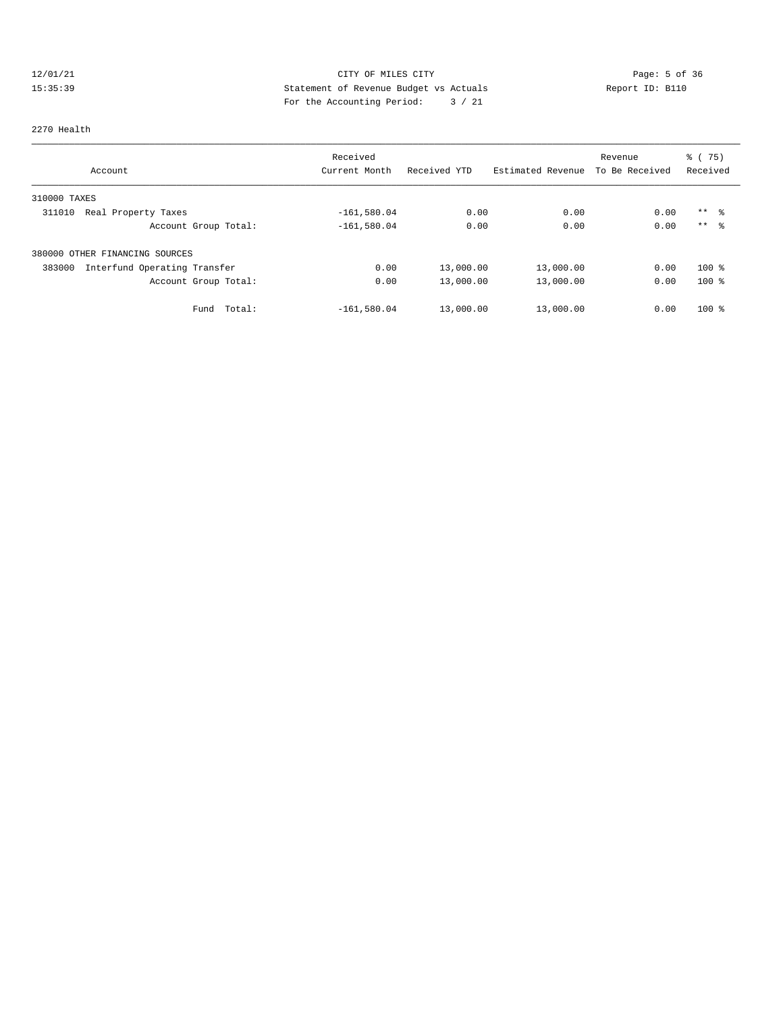# 12/01/21 CITY OF MILES CITY CONTRIBUTE CITY Page: 5 of 36<br>15:35:39 Statement of Revenue Budget vs Actuals Report ID: B110 15:35:39 Statement of Revenue Budget vs Actuals Report ID: B110 For the Accounting Period: 3 / 21

#### 2270 Health

|              |                                | Received      |              |                   | Revenue        | % (75)          |  |
|--------------|--------------------------------|---------------|--------------|-------------------|----------------|-----------------|--|
|              | Account                        | Current Month | Received YTD | Estimated Revenue | To Be Received | Received        |  |
| 310000 TAXES |                                |               |              |                   |                |                 |  |
| 311010       | Real Property Taxes            | $-161,580.04$ | 0.00         | 0.00              | 0.00           | $***$ %         |  |
|              | Account Group Total:           | $-161,580.04$ | 0.00         | 0.00              | 0.00           | $***$ $\approx$ |  |
|              | 380000 OTHER FINANCING SOURCES |               |              |                   |                |                 |  |
| 383000       | Interfund Operating Transfer   | 0.00          | 13,000.00    | 13,000.00         | 0.00           | $100$ %         |  |
|              | Account Group Total:           | 0.00          | 13,000.00    | 13,000.00         | 0.00           | $100$ %         |  |
|              | Total:<br>Fund                 | $-161,580.04$ | 13,000.00    | 13,000.00         | 0.00           | $100$ %         |  |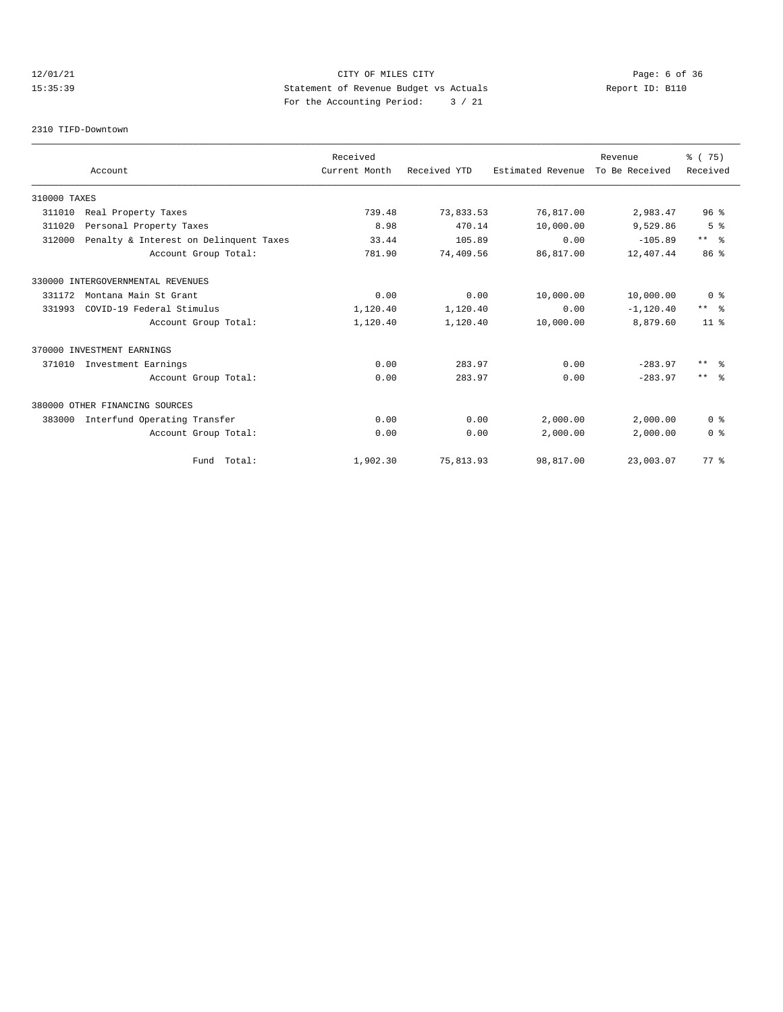# 12/01/21 CITY OF MILES CITY Page: 6 of 36 15:35:39 Statement of Revenue Budget vs Actuals Report ID: B110 For the Accounting Period: 3 / 21

#### 2310 TIFD-Downtown

|              |                                        | Received      |              |                   | Revenue        | % (75)          |
|--------------|----------------------------------------|---------------|--------------|-------------------|----------------|-----------------|
|              | Account                                | Current Month | Received YTD | Estimated Revenue | To Be Received | Received        |
| 310000 TAXES |                                        |               |              |                   |                |                 |
| 311010       | Real Property Taxes                    | 739.48        | 73,833.53    | 76,817.00         | 2,983.47       | 96 <sup>8</sup> |
| 311020       | Personal Property Taxes                | 8.98          | 470.14       | 10,000.00         | 9,529.86       | 5 <sup>°</sup>  |
| 312000       | Penalty & Interest on Delinquent Taxes | 33.44         | 105.89       | 0.00              | $-105.89$      | $***$ $ -$      |
|              | Account Group Total:                   | 781.90        | 74,409.56    | 86,817.00         | 12,407.44      | 86 <sup>8</sup> |
|              | 330000 INTERGOVERNMENTAL REVENUES      |               |              |                   |                |                 |
| 331172       | Montana Main St Grant                  | 0.00          | 0.00         | 10,000.00         | 10,000.00      | 0 <sup>8</sup>  |
| 331993       | COVID-19 Federal Stimulus              | 1,120.40      | 1,120.40     | 0.00              | $-1, 120.40$   | $***$ $ -$      |
|              | Account Group Total:                   | 1,120.40      | 1,120.40     | 10,000.00         | 8,879.60       | $11*$           |
|              | 370000 INVESTMENT EARNINGS             |               |              |                   |                |                 |
| 371010       | Investment Earnings                    | 0.00          | 283.97       | 0.00              | $-283.97$      | $***$ $ -$      |
|              | Account Group Total:                   | 0.00          | 283.97       | 0.00              | $-283.97$      | $***$ $ -$      |
|              | 380000 OTHER FINANCING SOURCES         |               |              |                   |                |                 |
| 383000       | Interfund Operating Transfer           | 0.00          | 0.00         | 2,000.00          | 2,000.00       | 0 <sup>8</sup>  |
|              | Account Group Total:                   | 0.00          | 0.00         | 2,000.00          | 2,000.00       | 0 <sup>8</sup>  |
|              | Fund Total:                            | 1,902.30      | 75,813.93    | 98,817.00         | 23,003.07      | 77.8            |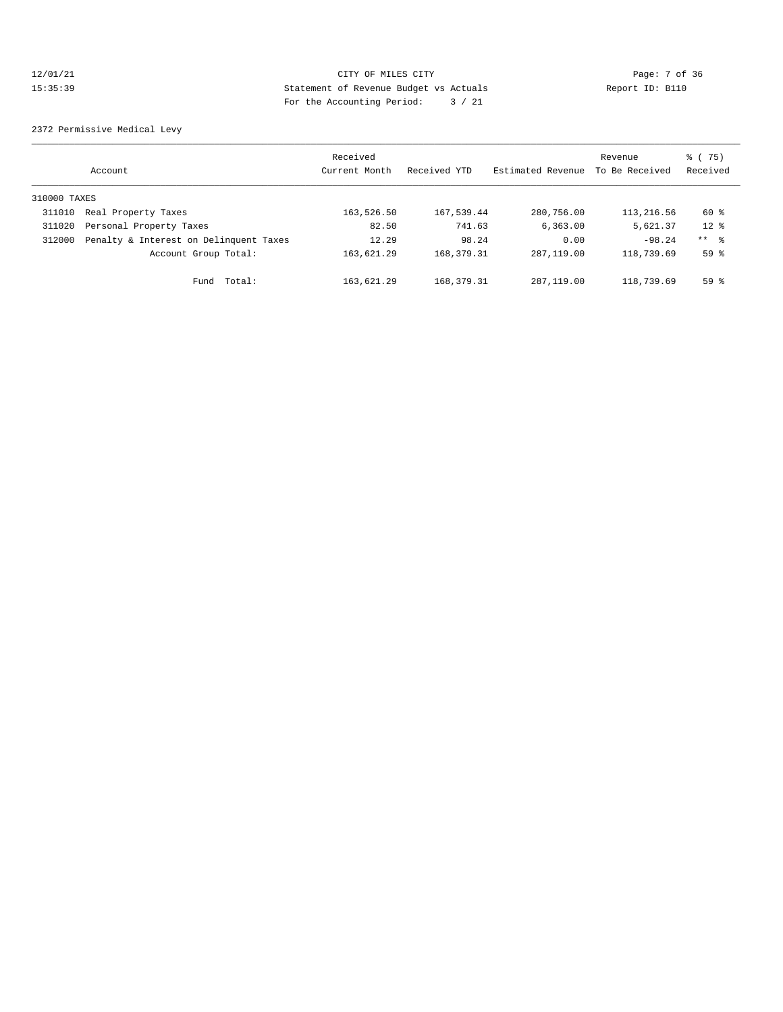# 12/01/21 CITY OF MILES CITY Page: 7 of 36 15:35:39 Statement of Revenue Budget vs Actuals Report ID: B110 For the Accounting Period: 3 / 21

2372 Permissive Medical Levy

|              | Account                                | Received<br>Current Month | Received YTD | Estimated Revenue | Revenue<br>To Be Received | % (75)<br>Received |
|--------------|----------------------------------------|---------------------------|--------------|-------------------|---------------------------|--------------------|
| 310000 TAXES |                                        |                           |              |                   |                           |                    |
| 311010       | Real Property Taxes                    | 163,526.50                | 167,539.44   | 280,756.00        | 113,216.56                | 60 %               |
| 311020       | Personal Property Taxes                | 82.50                     | 741.63       | 6, 363, 00        | 5,621.37                  | $12*$              |
| 312000       | Penalty & Interest on Delinquent Taxes | 12.29                     | 98.24        | 0.00              | $-98.24$                  | $***$ %            |
|              | Account Group Total:                   | 163,621.29                | 168, 379. 31 | 287, 119, 00      | 118,739.69                | 59 <sup>8</sup>    |
|              | Total:<br>Fund                         | 163,621.29                | 168, 379. 31 | 287, 119, 00      | 118,739.69                | 59%                |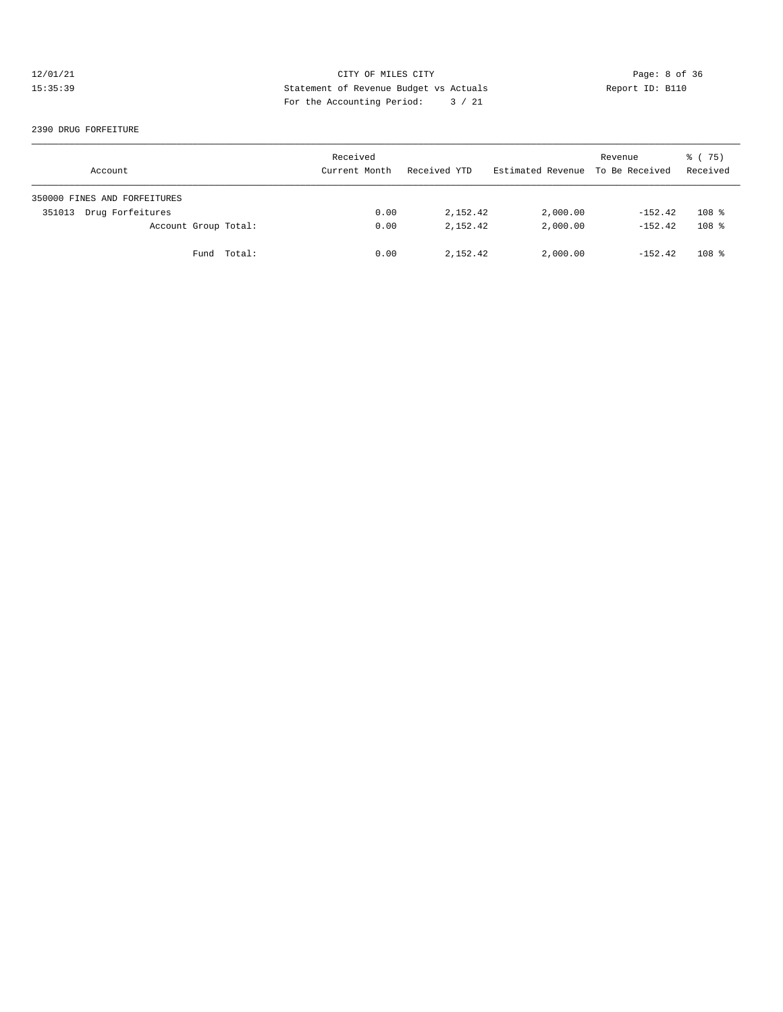# 12/01/21 CITY OF MILES CITY CHERE CITY Page: 8 of 36<br>15:35:39 Statement of Revenue Budget vs Actuals Report ID: B110 15:35:39 Statement of Revenue Budget vs Actuals Report ID: B110 For the Accounting Period: 3 / 21

#### 2390 DRUG FORFEITURE

| Account                      | Received<br>Current Month | Received YTD | Estimated Revenue To Be Received | Revenue   | 8 (75)<br>Received |
|------------------------------|---------------------------|--------------|----------------------------------|-----------|--------------------|
| 350000 FINES AND FORFEITURES |                           |              |                                  |           |                    |
| Drug Forfeitures<br>351013   | 0.00                      | 2,152.42     | 2,000.00                         | $-152.42$ | 108 <sup>8</sup>   |
| Account Group Total:         | 0.00                      | 2, 152, 42   | 2,000.00                         | $-152.42$ | 108 <sup>8</sup>   |
| Fund Total:                  | 0.00                      | 2,152.42     | 2,000.00                         | $-152.42$ | $108$ %            |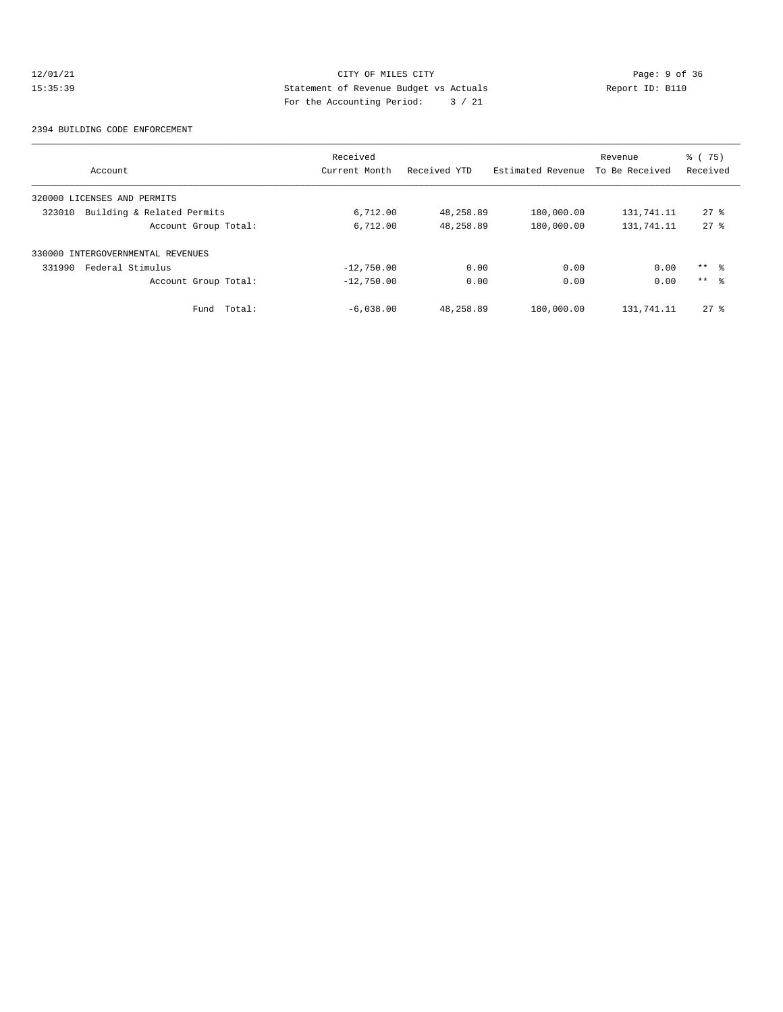# 12/01/21 CITY OF MILES CITY CHERE CITY Page: 9 of 36<br>15:35:39 Statement of Revenue Budget vs Actuals Report ID: B110 15:35:39 Statement of Revenue Budget vs Actuals Report ID: B110 For the Accounting Period: 3 / 21

#### 2394 BUILDING CODE ENFORCEMENT

|                                      | Received      |              |                   | Revenue        | $\frac{3}{6}$ ( 75) |
|--------------------------------------|---------------|--------------|-------------------|----------------|---------------------|
| Account                              | Current Month | Received YTD | Estimated Revenue | To Be Received | Received            |
| 320000 LICENSES AND PERMITS          |               |              |                   |                |                     |
| Building & Related Permits<br>323010 | 6,712.00      | 48,258.89    | 180,000.00        | 131,741.11     | $27*$               |
| Account Group Total:                 | 6,712.00      | 48,258.89    | 180,000.00        | 131,741.11     | $27*$               |
| 330000 INTERGOVERNMENTAL REVENUES    |               |              |                   |                |                     |
| Federal Stimulus<br>331990           | $-12,750.00$  | 0.00         | 0.00              | 0.00           | $***$ 8             |
| Account Group Total:                 | $-12,750.00$  | 0.00         | 0.00              | 0.00           | $***$ $\approx$     |
| Total:<br>Fund                       | $-6,038.00$   | 48,258.89    | 180,000.00        | 131,741.11     | $27*$               |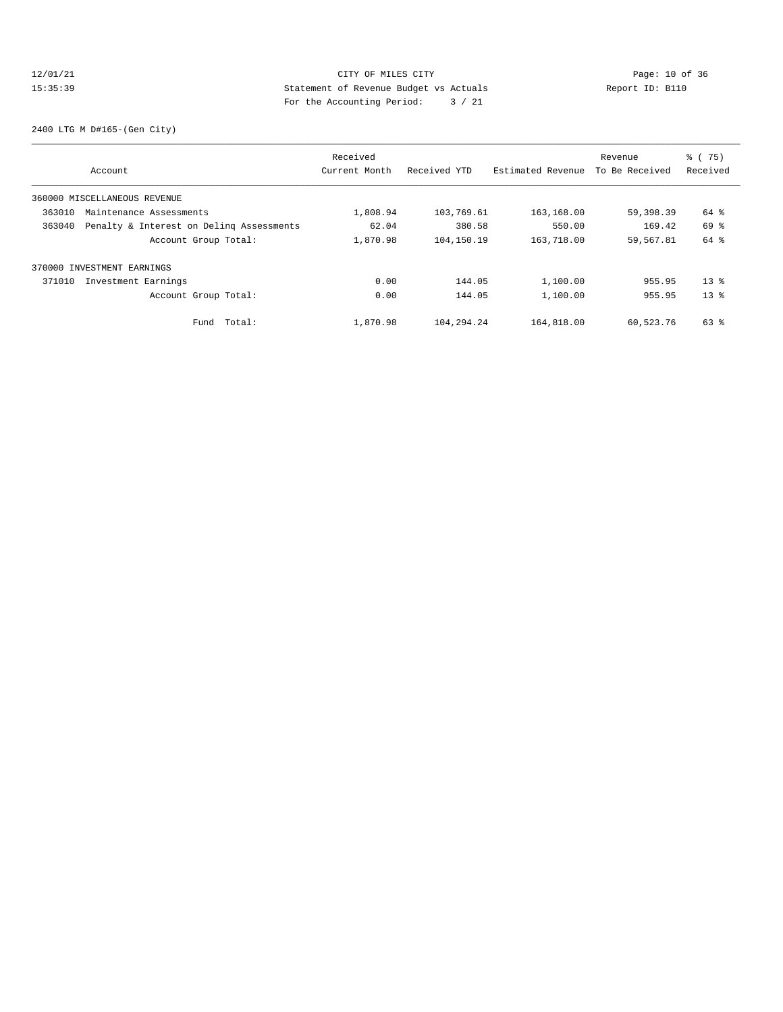# 12/01/21 Page: 10 of 36<br>15:35:39 Statement of Revenue Budget vs Actuals<br>15:35:39 Page: 10 of 36<br>15:35:39 Page: 10 of 36 15:35:39 Statement of Revenue Budget vs Actuals Report ID: B110 For the Accounting Period: 3 / 21

2400 LTG M D#165-(Gen City)

|        |                                          | Received      |              |                   | Revenue        | $\frac{3}{6}$ ( 75) |
|--------|------------------------------------------|---------------|--------------|-------------------|----------------|---------------------|
|        | Account                                  | Current Month | Received YTD | Estimated Revenue | To Be Received | Received            |
|        | 360000 MISCELLANEOUS REVENUE             |               |              |                   |                |                     |
| 363010 | Maintenance Assessments                  | 1,808.94      | 103,769.61   | 163,168.00        | 59,398.39      | 64 %                |
| 363040 | Penalty & Interest on Deling Assessments | 62.04         | 380.58       | 550.00            | 169.42         | 69 %                |
|        | Account Group Total:                     | 1,870.98      | 104,150.19   | 163,718.00        | 59,567.81      | 64 %                |
|        | 370000 INVESTMENT EARNINGS               |               |              |                   |                |                     |
| 371010 | Investment Earnings                      | 0.00          | 144.05       | 1,100.00          | 955.95         | $13*$               |
|        | Account Group Total:                     | 0.00          | 144.05       | 1,100.00          | 955.95         | $13*$               |
|        | Total:<br>Fund                           | 1,870.98      | 104,294.24   | 164,818.00        | 60,523.76      | 63 %                |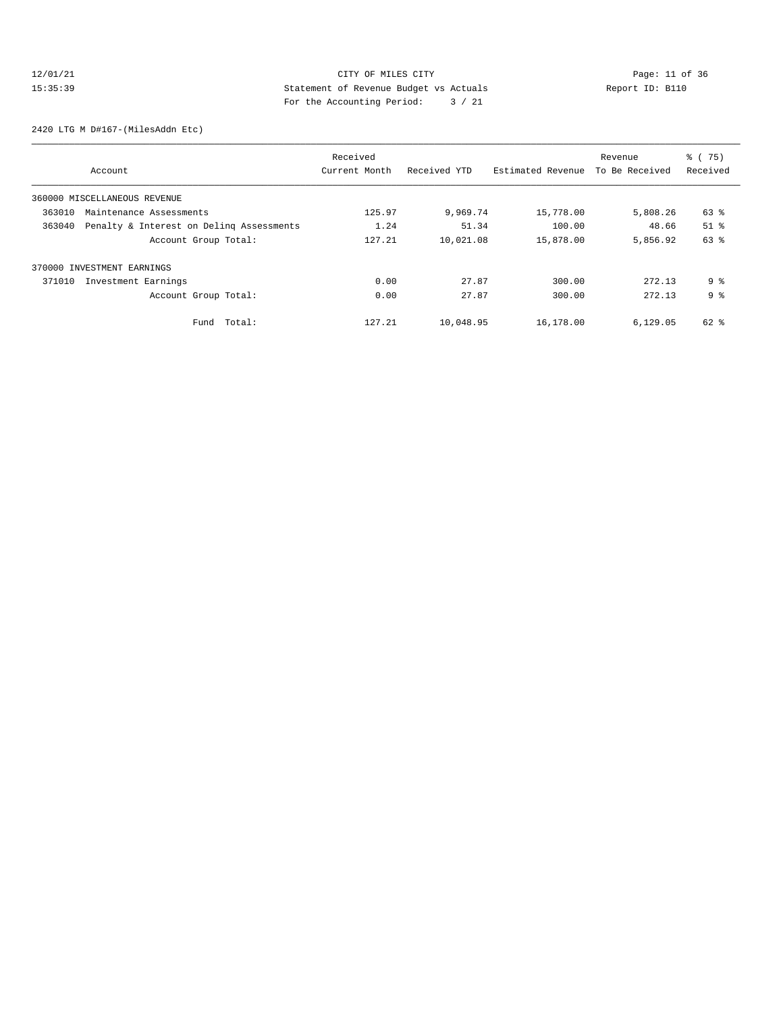# 12/01/21 Page: 11 of 36 CITY OF MILES CITY 15:35:39 Statement of Revenue Budget vs Actuals Report ID: B110 For the Accounting Period: 3 / 21

2420 LTG M D#167-(MilesAddn Etc)

| Account                                            | Received<br>Current Month | Received YTD | Estimated Revenue | Revenue<br>To Be Received | % (75)<br>Received            |
|----------------------------------------------------|---------------------------|--------------|-------------------|---------------------------|-------------------------------|
| 360000 MISCELLANEOUS REVENUE                       |                           |              |                   |                           |                               |
| 363010<br>Maintenance Assessments                  | 125.97                    | 9,969.74     | 15,778.00         | 5,808.26                  | 63 %                          |
| 363040<br>Penalty & Interest on Deling Assessments | 1.24                      | 51.34        | 100.00            | 48.66                     | $51$ $\overline{\phantom{0}}$ |
| Account Group Total:                               | 127.21                    | 10,021.08    | 15,878.00         | 5,856.92                  | 63 %                          |
| 370000 INVESTMENT EARNINGS                         |                           |              |                   |                           |                               |
| Investment Earnings<br>371010                      | 0.00                      | 27.87        | 300.00            | 272.13                    | 9 <sup>8</sup>                |
| Account Group Total:                               | 0.00                      | 27.87        | 300.00            | 272.13                    | 9 <sup>8</sup>                |
| Total:<br>Fund                                     | 127.21                    | 10,048.95    | 16,178.00         | 6,129.05                  | 62 %                          |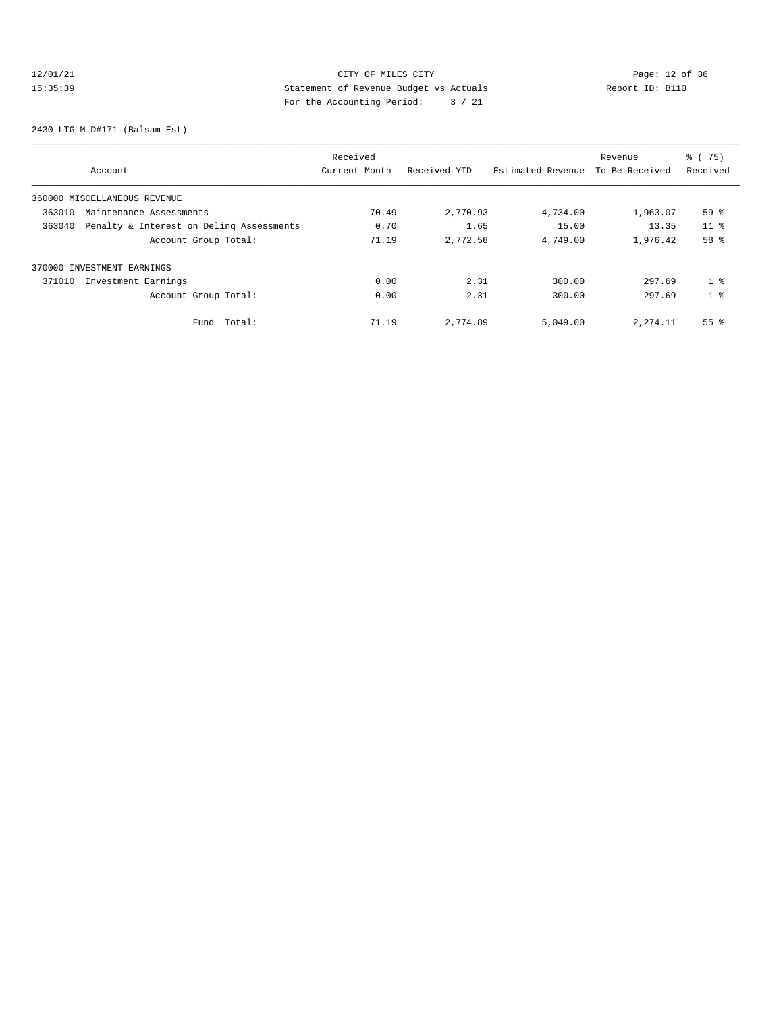# 12/01/21 Page: 12 of 36 CITY OF MILES CITY CHANGES CONTROL PAGE: 12 of 36 15:35:39 Statement of Revenue Budget vs Actuals<br>15:35:39 Report ID: B110 For the Accounting Period: 3 / 21

2430 LTG M D#171-(Balsam Est)

| Account                                            | Received<br>Current Month | Received YTD | Estimated Revenue | Revenue<br>To Be Received | % (75)<br>Received |
|----------------------------------------------------|---------------------------|--------------|-------------------|---------------------------|--------------------|
| 360000 MISCELLANEOUS REVENUE                       |                           |              |                   |                           |                    |
| 363010<br>Maintenance Assessments                  | 70.49                     | 2,770.93     | 4,734.00          | 1,963.07                  | 59 %               |
| 363040<br>Penalty & Interest on Deling Assessments | 0.70                      | 1.65         | 15.00             | 13.35                     | 11 <sup>8</sup>    |
| Account Group Total:                               | 71.19                     | 2,772.58     | 4,749.00          | 1,976.42                  | 58 %               |
| 370000 INVESTMENT EARNINGS                         |                           |              |                   |                           |                    |
| 371010<br>Investment Earnings                      | 0.00                      | 2.31         | 300.00            | 297.69                    | 1 <sup>8</sup>     |
| Account Group Total:                               | 0.00                      | 2.31         | 300.00            | 297.69                    | 1 <sup>8</sup>     |
| Total:<br>Fund                                     | 71.19                     | 2,774.89     | 5,049.00          | 2, 274.11                 | $55$ $\frac{6}{3}$ |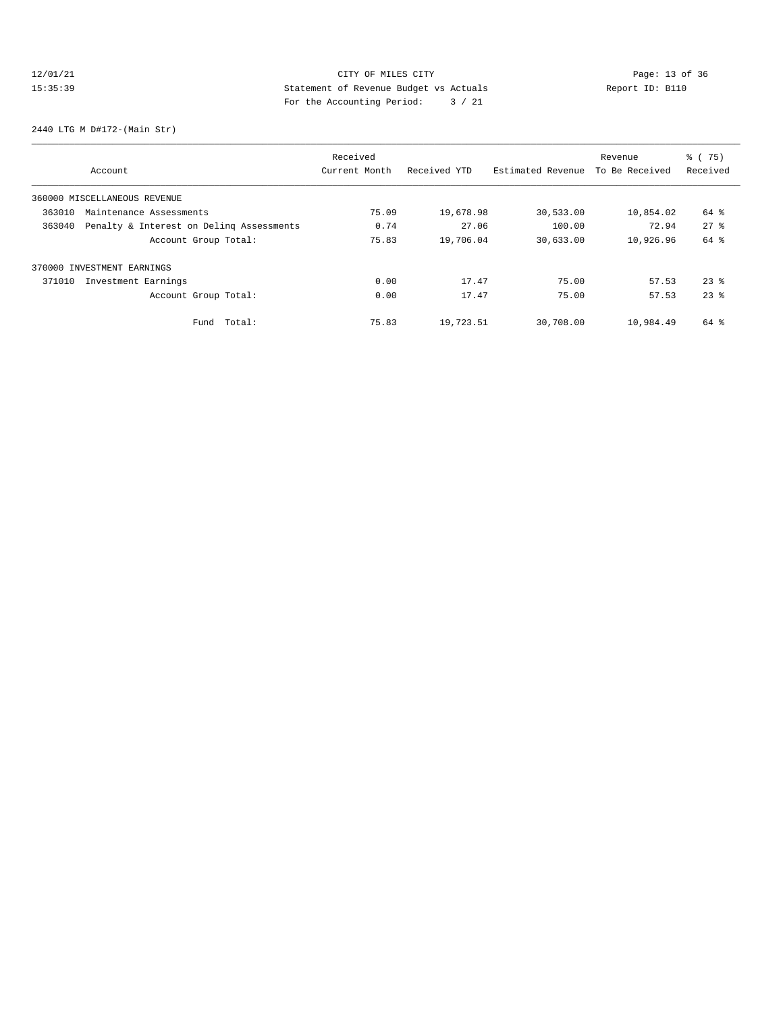# 12/01/21 Page: 13 of 36 Page: 13 of 36 Page: 13 Of 36 Page: 13 Of 36 Page: 13 Of 36 15:35:39 Statement of Revenue Budget vs Actuals<br>15:35:39 Report ID: B110 For the Accounting Period: 3 / 21

2440 LTG M D#172-(Main Str)

| Account                                            | Received<br>Current Month | Received YTD | Estimated Revenue | Revenue<br>To Be Received | % (75)<br>Received |
|----------------------------------------------------|---------------------------|--------------|-------------------|---------------------------|--------------------|
| 360000 MISCELLANEOUS REVENUE                       |                           |              |                   |                           |                    |
| 363010<br>Maintenance Assessments                  | 75.09                     | 19,678.98    | 30,533.00         | 10,854.02                 | 64 %               |
| 363040<br>Penalty & Interest on Deling Assessments | 0.74                      | 27.06        | 100.00            | 72.94                     | $27$ $%$           |
| Account Group Total:                               | 75.83                     | 19,706.04    | 30,633.00         | 10,926.96                 | 64 %               |
| 370000 INVESTMENT EARNINGS                         |                           |              |                   |                           |                    |
| 371010<br>Investment Earnings                      | 0.00                      | 17.47        | 75.00             | 57.53                     | $23$ $%$           |
| Account Group Total:                               | 0.00                      | 17.47        | 75.00             | 57.53                     | $23$ $%$           |
| Total:<br>Fund                                     | 75.83                     | 19,723.51    | 30,708.00         | 10,984.49                 | $64$ $\frac{6}{3}$ |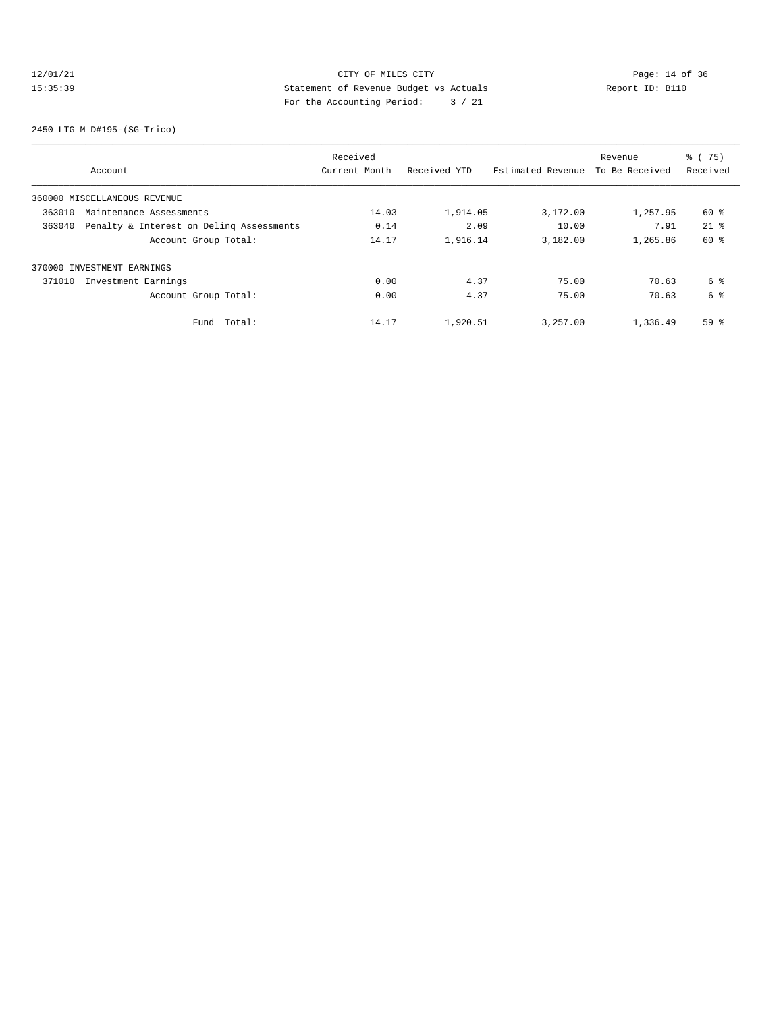# 12/01/21 Page: 14 of 36 15:35:39 Statement of Revenue Budget vs Actuals Report ID: B110 For the Accounting Period: 3 / 21

2450 LTG M D#195-(SG-Trico)

| Account                                            | Received<br>Current Month | Received YTD | Estimated Revenue | Revenue<br>To Be Received | % (75)<br>Received |
|----------------------------------------------------|---------------------------|--------------|-------------------|---------------------------|--------------------|
| 360000 MISCELLANEOUS REVENUE                       |                           |              |                   |                           |                    |
| 363010<br>Maintenance Assessments                  | 14.03                     | 1,914.05     | 3,172.00          | 1,257.95                  | $60*$              |
| Penalty & Interest on Deling Assessments<br>363040 | 0.14                      | 2.09         | 10.00             | 7.91                      | $21*$              |
| Account Group Total:                               | 14.17                     | 1,916.14     | 3,182.00          | 1,265.86                  | 60 %               |
| 370000 INVESTMENT EARNINGS                         |                           |              |                   |                           |                    |
| Investment Earnings<br>371010                      | 0.00                      | 4.37         | 75.00             | 70.63                     | 6 %                |
| Account Group Total:                               | 0.00                      | 4.37         | 75.00             | 70.63                     | 6 %                |
| Total:<br>Fund                                     | 14.17                     | 1,920.51     | 3,257.00          | 1,336.49                  | 59 <sup>°</sup>    |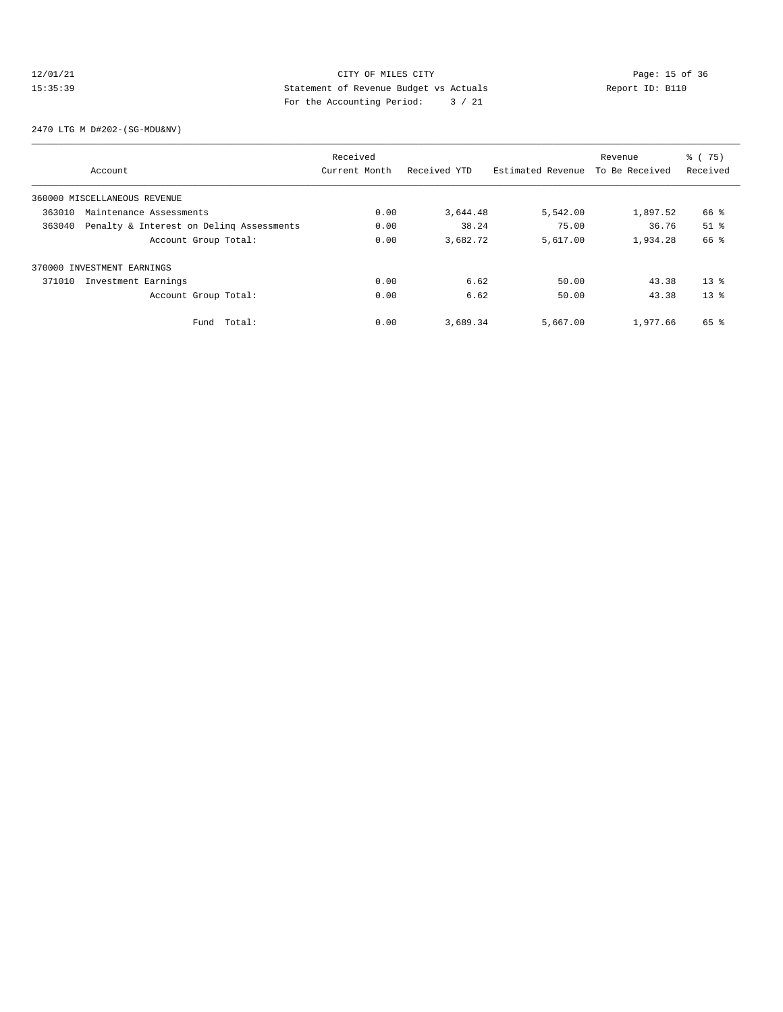# 12/01/21 Page: 15 of 36<br>15:35:39 Statement of Revenue Budget vs Actuals Report ID: B110<br>15:35:39 15:35:39 Statement of Revenue Budget vs Actuals Report ID: B110 For the Accounting Period: 3 / 21

2470 LTG M D#202-(SG-MDU&NV)

|                                                    | Received      |              |                   | Revenue        | % (75)              |
|----------------------------------------------------|---------------|--------------|-------------------|----------------|---------------------|
| Account                                            | Current Month | Received YTD | Estimated Revenue | To Be Received | Received            |
| 360000 MISCELLANEOUS REVENUE                       |               |              |                   |                |                     |
| 363010<br>Maintenance Assessments                  | 0.00          | 3,644.48     | 5,542.00          | 1,897.52       | 66 %                |
| 363040<br>Penalty & Interest on Deling Assessments | 0.00          | 38.24        | 75.00             | 36.76          | $51$ $\overline{6}$ |
| Account Group Total:                               | 0.00          | 3,682.72     | 5,617.00          | 1,934.28       | 66 %                |
| 370000 INVESTMENT EARNINGS                         |               |              |                   |                |                     |
| 371010<br>Investment Earnings                      | 0.00          | 6.62         | 50.00             | 43.38          | $13*$               |
| Account Group Total:                               | 0.00          | 6.62         | 50.00             | 43.38          | $13*$               |
| Total:<br>Fund                                     | 0.00          | 3,689.34     | 5,667.00          | 1,977.66       | 65 %                |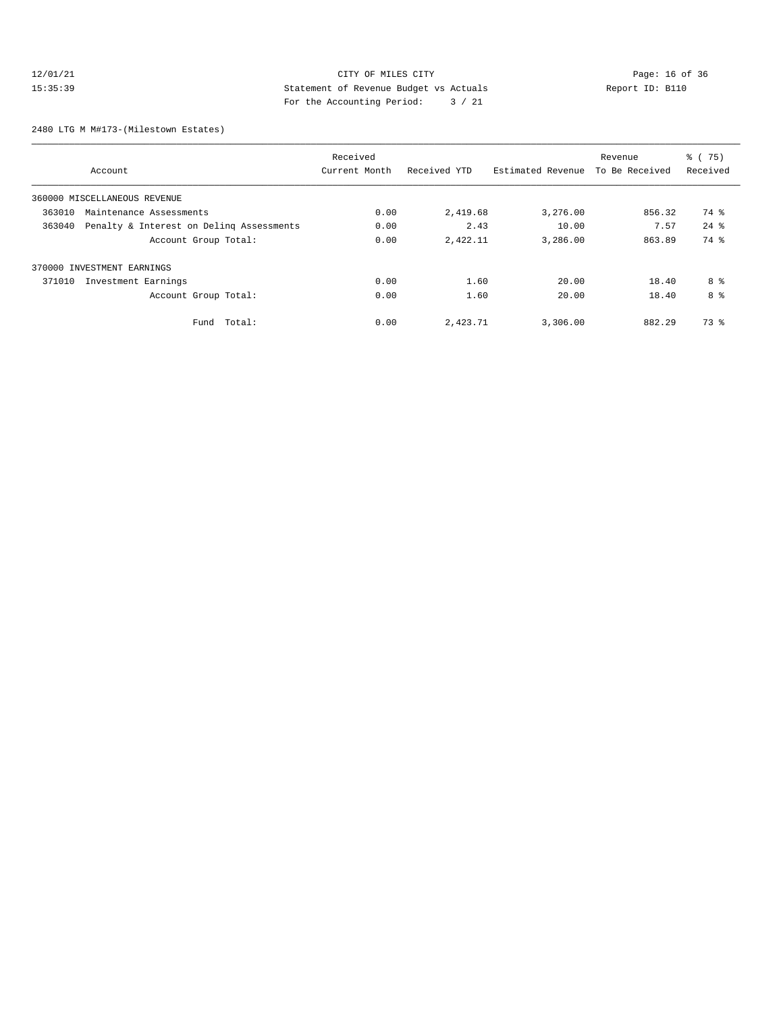# 12/01/21 CITY OF MILES CITY<br>15:35:39 Statement of Revenue Budget vs Actuals<br>15:35:39 Page: 16 of 36 15:35:39 Statement of Revenue Budget vs Actuals Report ID: B110 For the Accounting Period: 3 / 21

2480 LTG M M#173-(Milestown Estates)

| Account                                            | Received<br>Current Month | Received YTD | Estimated Revenue | Revenue<br>To Be Received | % (<br>75)<br>Received |
|----------------------------------------------------|---------------------------|--------------|-------------------|---------------------------|------------------------|
|                                                    |                           |              |                   |                           |                        |
| 360000 MISCELLANEOUS REVENUE                       |                           |              |                   |                           |                        |
| 363010<br>Maintenance Assessments                  | 0.00                      | 2,419.68     | 3,276.00          | 856.32                    | 74 %                   |
| Penalty & Interest on Deling Assessments<br>363040 | 0.00                      | 2.43         | 10.00             | 7.57                      | $24$ $%$               |
| Account Group Total:                               | 0.00                      | 2,422.11     | 3,286.00          | 863.89                    | 74 %                   |
| 370000 INVESTMENT EARNINGS                         |                           |              |                   |                           |                        |
| 371010<br>Investment Earnings                      | 0.00                      | 1.60         | 20.00             | 18.40                     | 8 %                    |
| Account Group Total:                               | 0.00                      | 1.60         | 20.00             | 18.40                     | 8 %                    |
| Fund Total:                                        | 0.00                      | 2,423.71     | 3,306.00          | 882.29                    | 73 %                   |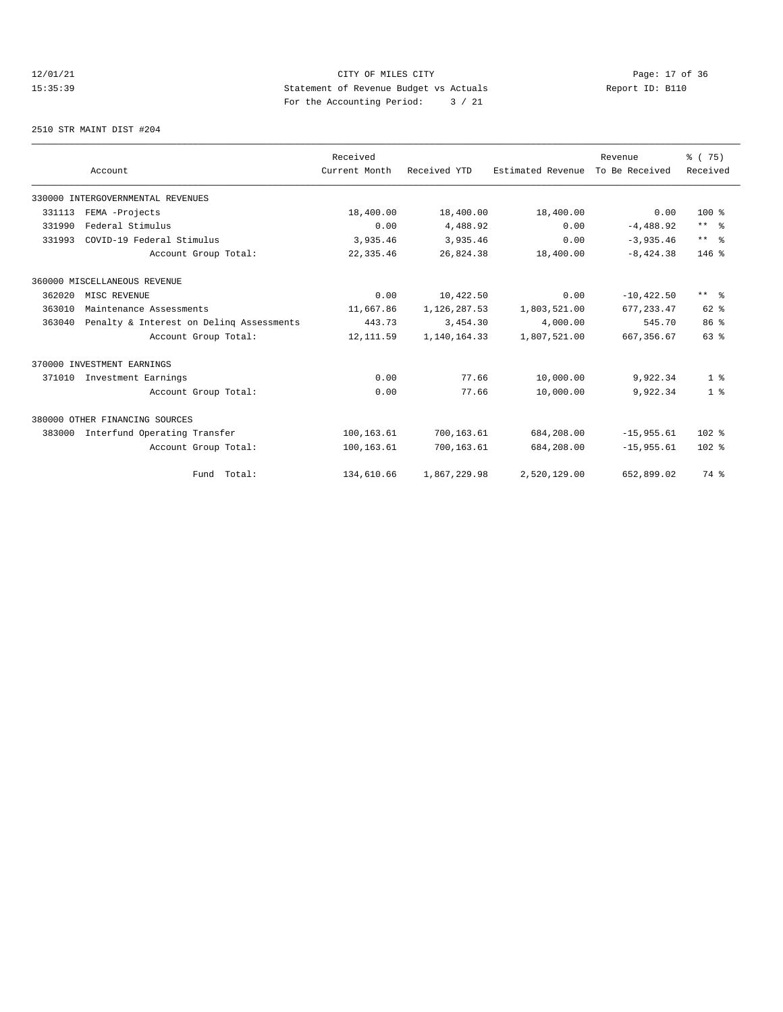12/01/21 CITY OF MILES CITY<br>15:35:39 Statement of Revenue Budget vs Actuals Report ID: B110<br>15:35:39 Statement of Revenue Budget vs Actuals 15:35:39 Statement of Revenue Budget vs Actuals Report ID: B110 For the Accounting Period: 3 / 21

2510 STR MAINT DIST #204

|        |                                          | Received      |              |                   | Revenue        | % (75)          |
|--------|------------------------------------------|---------------|--------------|-------------------|----------------|-----------------|
|        | Account                                  | Current Month | Received YTD | Estimated Revenue | To Be Received | Received        |
|        | 330000 INTERGOVERNMENTAL REVENUES        |               |              |                   |                |                 |
| 331113 | FEMA -Projects                           | 18,400.00     | 18,400.00    | 18,400.00         | 0.00           | $100*$          |
| 331990 | Federal Stimulus                         | 0.00          | 4,488.92     | 0.00              | $-4,488.92$    | $***$ $%$       |
| 331993 | COVID-19 Federal Stimulus                | 3,935.46      | 3,935.46     | 0.00              | $-3.935.46$    | $***$ %         |
|        | Account Group Total:                     | 22, 335.46    | 26,824.38    | 18,400.00         | $-8,424.38$    | $146$ %         |
|        | 360000 MISCELLANEOUS REVENUE             |               |              |                   |                |                 |
| 362020 | MISC REVENUE                             | 0.00          | 10,422.50    | 0.00              | $-10, 422.50$  | $***$ $ -$      |
| 363010 | Maintenance Assessments                  | 11,667.86     | 1,126,287.53 | 1,803,521.00      | 677.233.47     | $62$ $%$        |
| 363040 | Penalty & Interest on Deling Assessments | 443.73        | 3,454.30     | 4,000.00          | 545.70         | 86 <sup>8</sup> |
|        | Account Group Total:                     | 12, 111.59    | 1,140,164.33 | 1,807,521.00      | 667, 356.67    | 63 <sup>8</sup> |
|        | 370000 INVESTMENT EARNINGS               |               |              |                   |                |                 |
| 371010 | Investment Earnings                      | 0.00          | 77.66        | 10,000.00         | 9,922.34       | 1 <sup>8</sup>  |
|        | Account Group Total:                     | 0.00          | 77.66        | 10,000.00         | 9,922.34       | 1 <sup>8</sup>  |
|        | 380000 OTHER FINANCING SOURCES           |               |              |                   |                |                 |
| 383000 | Interfund Operating Transfer             | 100,163.61    | 700,163.61   | 684,208.00        | $-15,955.61$   | $102*$          |
|        | Account Group Total:                     | 100,163.61    | 700,163.61   | 684,208.00        | $-15.955.61$   | $102*$          |
|        | Fund Total:                              | 134,610.66    | 1,867,229.98 | 2,520,129.00      | 652,899.02     | 74 %            |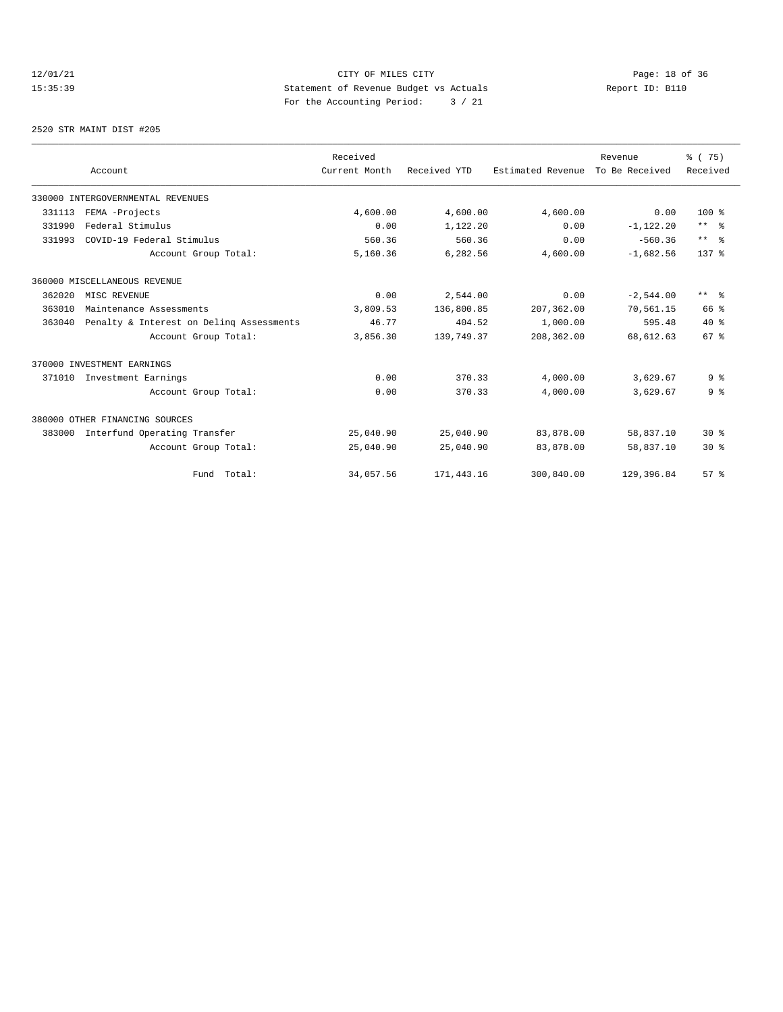# 12/01/21 CITY OF MILES CITY<br>15:35:39 Statement of Revenue Budget vs Actuals<br>15:35:39 Statement of Revenue Budget vs Actuals<br>15:35:39 Page: 18 of 36 15:35:39 Statement of Revenue Budget vs Actuals Report ID: B110 For the Accounting Period: 3 / 21

2520 STR MAINT DIST #205

|        |                                          | Received      |              |                   | Revenue        | % (75)                  |
|--------|------------------------------------------|---------------|--------------|-------------------|----------------|-------------------------|
|        | Account                                  | Current Month | Received YTD | Estimated Revenue | To Be Received | Received                |
|        | 330000 INTERGOVERNMENTAL REVENUES        |               |              |                   |                |                         |
| 331113 | FEMA -Projects                           | 4,600.00      | 4,600.00     | 4,600.00          | 0.00           | $100*$                  |
| 331990 | Federal Stimulus                         | 0.00          | 1,122.20     | 0.00              | $-1, 122.20$   | $***$ $%$               |
| 331993 | COVID-19 Federal Stimulus                | 560.36        | 560.36       | 0.00              | $-560.36$      | $***$ $%$               |
|        | Account Group Total:                     | 5,160.36      | 6,282.56     | 4,600.00          | $-1,682.56$    | $137*$                  |
|        | 360000 MISCELLANEOUS REVENUE             |               |              |                   |                |                         |
| 362020 | MISC REVENUE                             | 0.00          | 2,544.00     | 0.00              | $-2,544.00$    | $***$ $=$ $\frac{6}{5}$ |
| 363010 | Maintenance Assessments                  | 3,809.53      | 136,800.85   | 207,362.00        | 70,561.15      | 66 %                    |
| 363040 | Penalty & Interest on Deling Assessments | 46.77         | 404.52       | 1,000.00          | 595.48         | $40*$                   |
|        | Account Group Total:                     | 3,856.30      | 139,749.37   | 208,362.00        | 68,612.63      | 67 <sup>8</sup>         |
|        | 370000 INVESTMENT EARNINGS               |               |              |                   |                |                         |
| 371010 | Investment Earnings                      | 0.00          | 370.33       | 4,000.00          | 3,629.67       | 9 <sup>8</sup>          |
|        | Account Group Total:                     | 0.00          | 370.33       | 4,000.00          | 3,629.67       | 9 <sup>°</sup>          |
|        | 380000 OTHER FINANCING SOURCES           |               |              |                   |                |                         |
| 383000 | Interfund Operating Transfer             | 25,040.90     | 25,040.90    | 83,878.00         | 58,837.10      | $30*$                   |
|        | Account Group Total:                     | 25,040.90     | 25,040.90    | 83,878.00         | 58,837.10      | $30*$                   |
|        | Fund Total:                              | 34,057.56     | 171,443.16   | 300,840.00        | 129,396.84     | $57*$                   |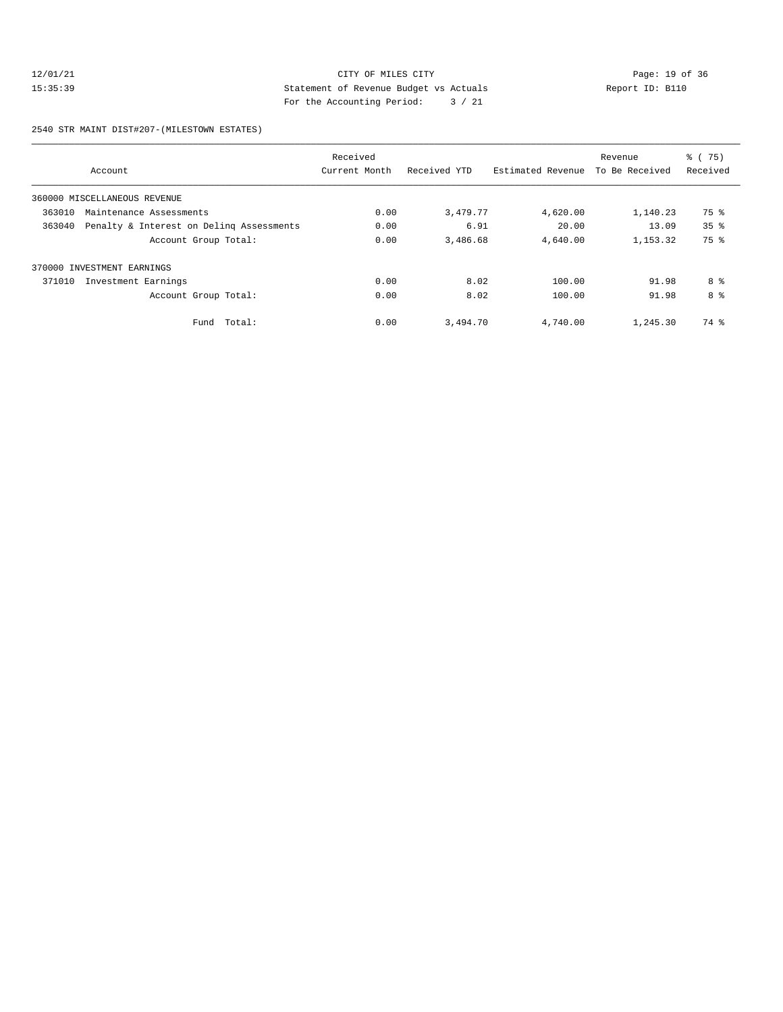# 12/01/21 Page: 19 of 36<br>15:35:39 Statement of Revenue Budget vs Actuals<br>15:35:39 Page: 19 of 36<br>15:35:39 Page: 19 of 36 15:35:39 Statement of Revenue Budget vs Actuals Report ID: B110 For the Accounting Period: 3 / 21

2540 STR MAINT DIST#207-(MILESTOWN ESTATES)

| Account                                            | Received<br>Current Month | Received YTD | Estimated Revenue | Revenue<br>To Be Received | % (75)<br>Received |
|----------------------------------------------------|---------------------------|--------------|-------------------|---------------------------|--------------------|
| 360000 MISCELLANEOUS REVENUE                       |                           |              |                   |                           |                    |
| 363010<br>Maintenance Assessments                  | 0.00                      | 3,479.77     | 4,620.00          | 1,140.23                  | 75 %               |
| 363040<br>Penalty & Interest on Deling Assessments | 0.00                      | 6.91         | 20.00             | 13.09                     | 35 <sup>8</sup>    |
| Account Group Total:                               | 0.00                      | 3,486.68     | 4,640.00          | 1,153.32                  | 75 %               |
| 370000 INVESTMENT EARNINGS                         |                           |              |                   |                           |                    |
| 371010<br>Investment Earnings                      | 0.00                      | 8.02         | 100.00            | 91.98                     | 8 %                |
| Account Group Total:                               | 0.00                      | 8.02         | 100.00            | 91.98                     | 8 %                |
| Fund Total:                                        | 0.00                      | 3,494.70     | 4,740.00          | 1,245.30                  | 74 %               |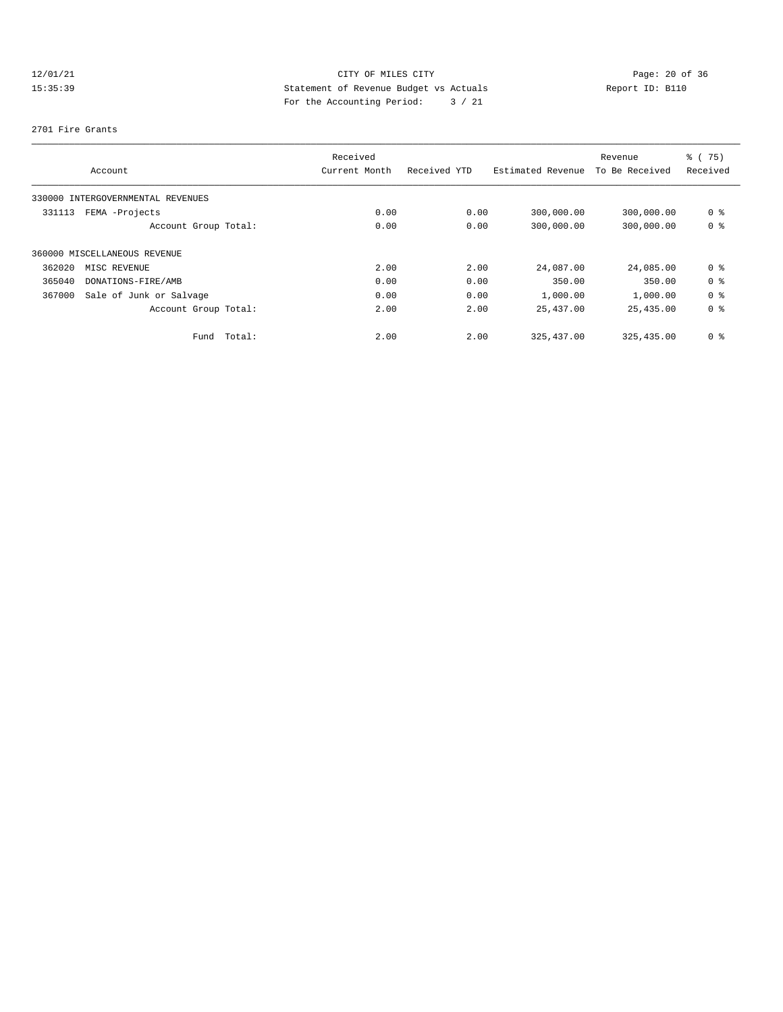# 12/01/21 CITY OF MILES CITY<br>15:35:39 Statement of Revenue Budget vs Actuals<br>15:35:39 Page: 20 of 36<br>15:35:39 Page: 20 of 36 15:35:39 Statement of Revenue Budget vs Actuals Report ID: B110 For the Accounting Period: 3 / 21

#### 2701 Fire Grants

|        |                                   | Received      |              |                   | Revenue        | % (75)         |
|--------|-----------------------------------|---------------|--------------|-------------------|----------------|----------------|
|        | Account                           | Current Month | Received YTD | Estimated Revenue | To Be Received | Received       |
|        | 330000 INTERGOVERNMENTAL REVENUES |               |              |                   |                |                |
| 331113 | FEMA -Projects                    | 0.00          | 0.00         | 300,000.00        | 300,000.00     | 0 %            |
|        | Account Group Total:              | 0.00          | 0.00         | 300,000.00        | 300,000.00     | 0 %            |
|        | 360000 MISCELLANEOUS REVENUE      |               |              |                   |                |                |
| 362020 | MISC REVENUE                      | 2.00          | 2.00         | 24,087.00         | 24,085.00      | 0 %            |
| 365040 | DONATIONS-FIRE/AMB                | 0.00          | 0.00         | 350.00            | 350.00         | 0 %            |
| 367000 | Sale of Junk or Salvage           | 0.00          | 0.00         | 1,000.00          | 1,000.00       | 0 <sup>8</sup> |
|        | Account Group Total:              | 2.00          | 2.00         | 25,437.00         | 25,435.00      | 0 %            |
|        | Fund Total:                       | 2.00          | 2.00         | 325, 437, 00      | 325, 435, 00   | 0 %            |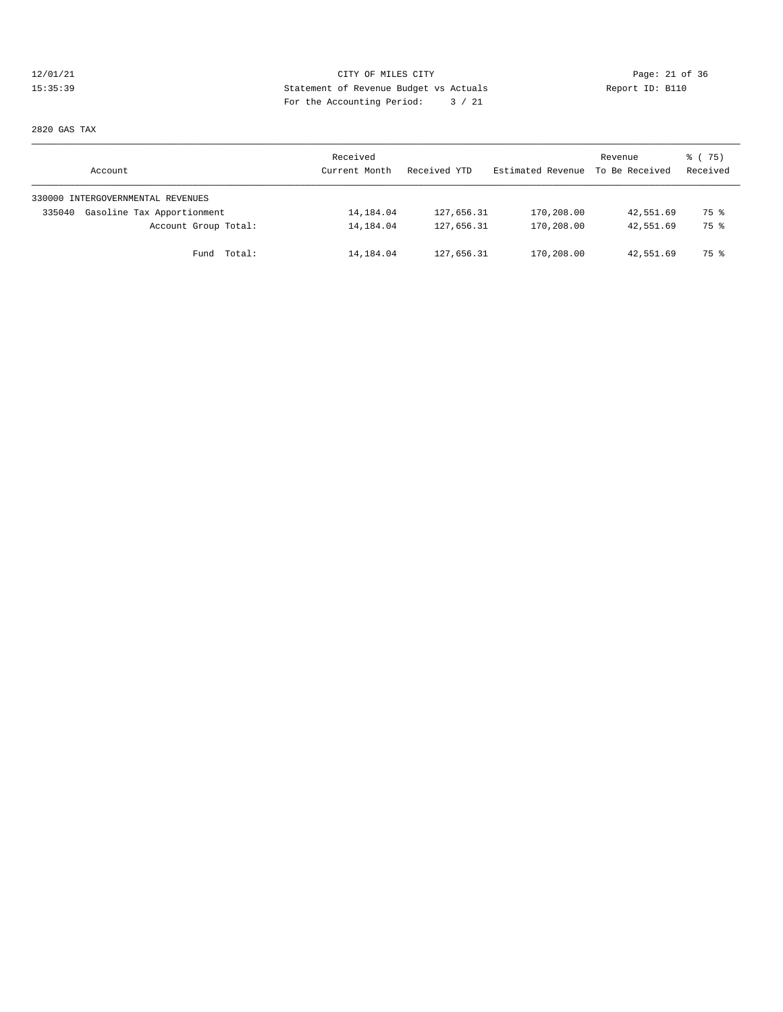# 12/01/21 Page: 21 of 36<br>15:35:39 Statement of Revenue Budget vs Actuals<br>15:35:39 Page: 21 of 36<br>15:35:39 Page: 21 of 36 15:35:39 Statement of Revenue Budget vs Actuals Report ID: B110 For the Accounting Period: 3 / 21

2820 GAS TAX

| Account                              | Received<br>Current Month | Received YTD | Estimated Revenue | Revenue<br>To Be Received | 8 (75)<br>Received |
|--------------------------------------|---------------------------|--------------|-------------------|---------------------------|--------------------|
| 330000 INTERGOVERNMENTAL REVENUES    |                           |              |                   |                           |                    |
| Gasoline Tax Apportionment<br>335040 | 14,184.04                 | 127,656.31   | 170,208.00        | 42,551.69                 | 75 %               |
| Account Group Total:                 | 14,184.04                 | 127,656.31   | 170,208.00        | 42,551.69                 | 75 %               |
| Fund Total:                          | 14,184.04                 | 127,656.31   | 170,208.00        | 42,551.69                 | 75 %               |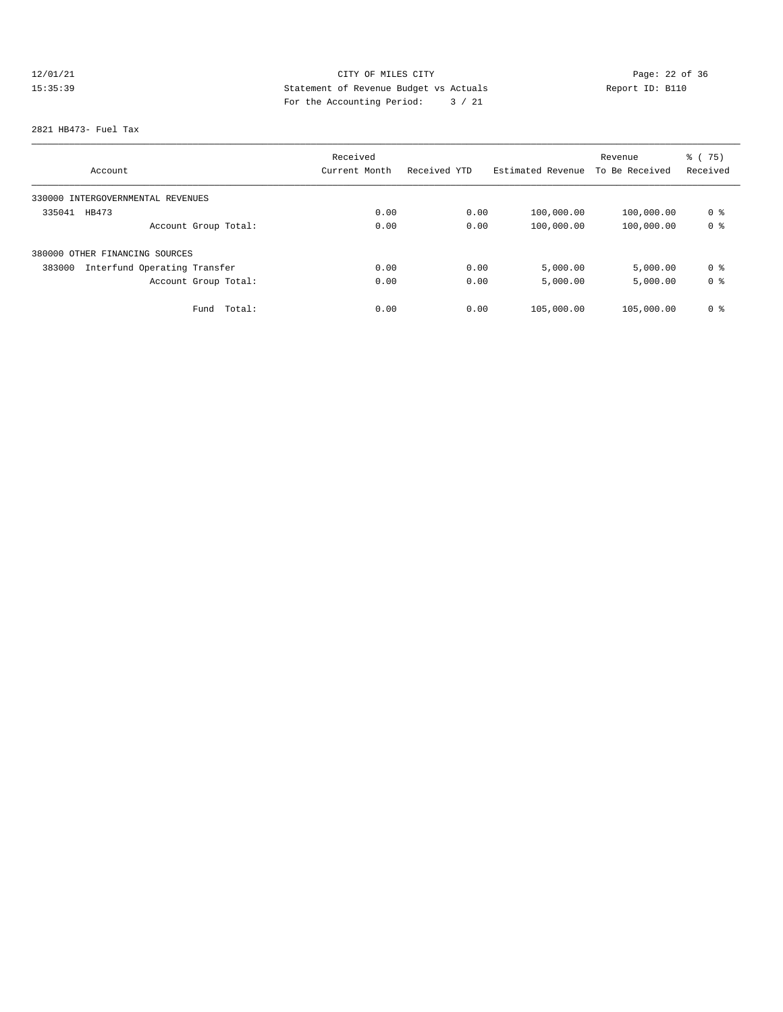# 12/01/21 Page: 22 of 36 15:35:39 Statement of Revenue Budget vs Actuals<br>15:35:39 Report ID: B110 For the Accounting Period: 3 / 21

#### 2821 HB473- Fuel Tax

|                                        | Received      |              |                   | Revenue        | $\frac{3}{6}$ ( 75) |
|----------------------------------------|---------------|--------------|-------------------|----------------|---------------------|
| Account                                | Current Month | Received YTD | Estimated Revenue | To Be Received | Received            |
| 330000 INTERGOVERNMENTAL REVENUES      |               |              |                   |                |                     |
| 335041<br>HB473                        | 0.00          | 0.00         | 100,000.00        | 100,000.00     | 0 %                 |
| Account Group Total:                   | 0.00          | 0.00         | 100,000.00        | 100,000.00     | 0 <sup>8</sup>      |
| 380000 OTHER FINANCING SOURCES         |               |              |                   |                |                     |
| Interfund Operating Transfer<br>383000 | 0.00          | 0.00         | 5,000.00          | 5,000.00       | 0 %                 |
| Account Group Total:                   | 0.00          | 0.00         | 5,000.00          | 5,000.00       | 0 %                 |
| Fund<br>Total:                         | 0.00          | 0.00         | 105,000.00        | 105,000.00     | 0 %                 |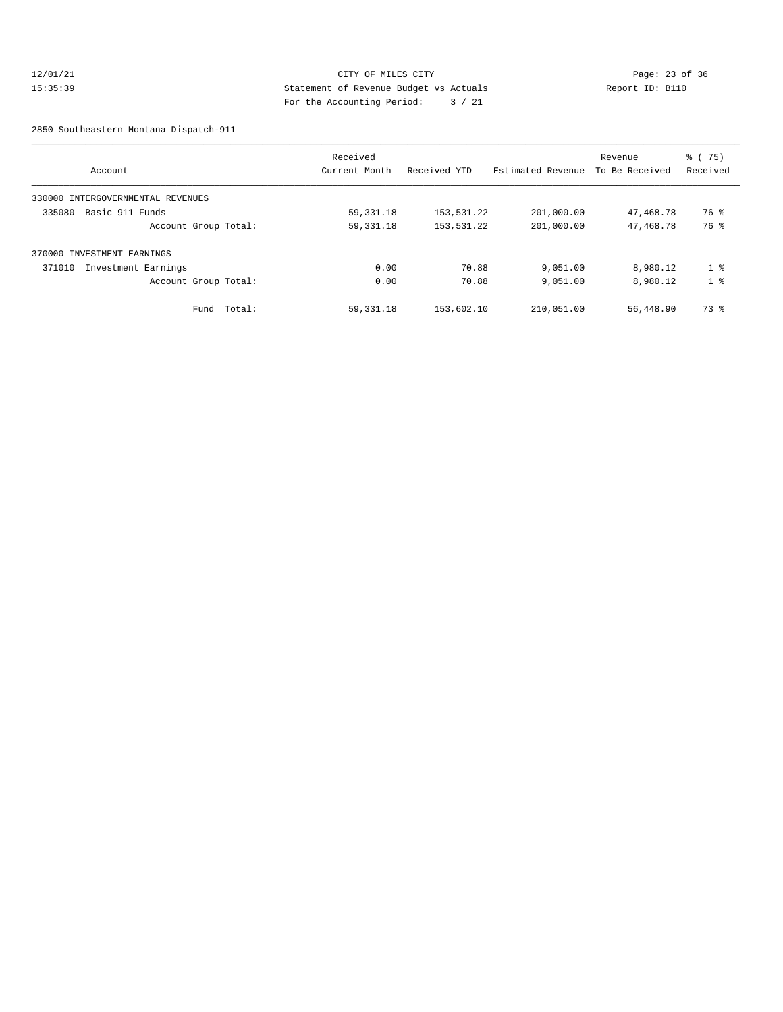#### 12/01/21 Page: 23 of 36 15:35:39 Statement of Revenue Budget vs Actuals Report ID: B110 For the Accounting Period: 3 / 21

2850 Southeastern Montana Dispatch-911

|                                   | Received      |              |                   | Revenue        | $\frac{3}{6}$ ( 75) |
|-----------------------------------|---------------|--------------|-------------------|----------------|---------------------|
| Account                           | Current Month | Received YTD | Estimated Revenue | To Be Received | Received            |
| 330000 INTERGOVERNMENTAL REVENUES |               |              |                   |                |                     |
| 335080<br>Basic 911 Funds         | 59,331.18     | 153,531.22   | 201,000.00        | 47,468.78      | 76 %                |
| Account Group Total:              | 59, 331. 18   | 153,531.22   | 201,000.00        | 47,468.78      | 76 %                |
| 370000 INVESTMENT EARNINGS        |               |              |                   |                |                     |
| 371010<br>Investment Earnings     | 0.00          | 70.88        | 9,051.00          | 8,980.12       | 1 <sup>8</sup>      |
| Account Group Total:              | 0.00          | 70.88        | 9,051.00          | 8,980.12       | 1 <sup>8</sup>      |
| Fund Total:                       | 59, 331. 18   | 153,602.10   | 210,051.00        | 56,448.90      | 73 %                |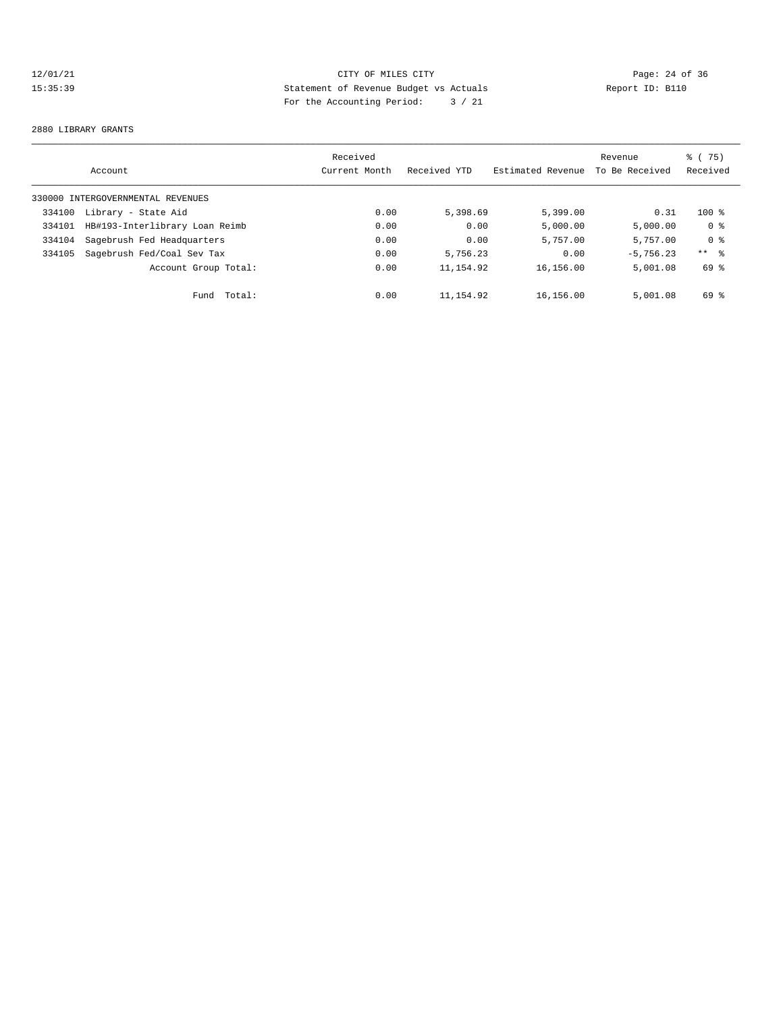# 12/01/21 CITY OF MILES CITY<br>15:35:39 Statement of Revenue Budget vs Actuals<br>15:35:39 Statement of Revenue Budget vs Actuals 15:35:39 Statement of Revenue Budget vs Actuals Report ID: B110 For the Accounting Period: 3 / 21

#### 2880 LIBRARY GRANTS

|        | Account                           | Received<br>Current Month | Received YTD | Estimated Revenue | Revenue<br>To Be Received | % (75)<br>Received |
|--------|-----------------------------------|---------------------------|--------------|-------------------|---------------------------|--------------------|
|        | 330000 INTERGOVERNMENTAL REVENUES |                           |              |                   |                           |                    |
| 334100 | Library - State Aid               | 0.00                      | 5,398.69     | 5,399.00          | 0.31                      | $100$ %            |
| 334101 | HB#193-Interlibrary Loan Reimb    | 0.00                      | 0.00         | 5,000.00          | 5,000.00                  | 0 %                |
| 334104 | Sagebrush Fed Headquarters        | 0.00                      | 0.00         | 5,757.00          | 5,757.00                  | 0 <sup>8</sup>     |
| 334105 | Sagebrush Fed/Coal Sev Tax        | 0.00                      | 5,756.23     | 0.00              | $-5.756.23$               | $***$ %            |
|        | Account Group Total:              | 0.00                      | 11, 154.92   | 16,156.00         | 5,001.08                  | 69 %               |
|        | Total:<br>Fund                    | 0.00                      | 11,154.92    | 16,156.00         | 5,001.08                  | 69 %               |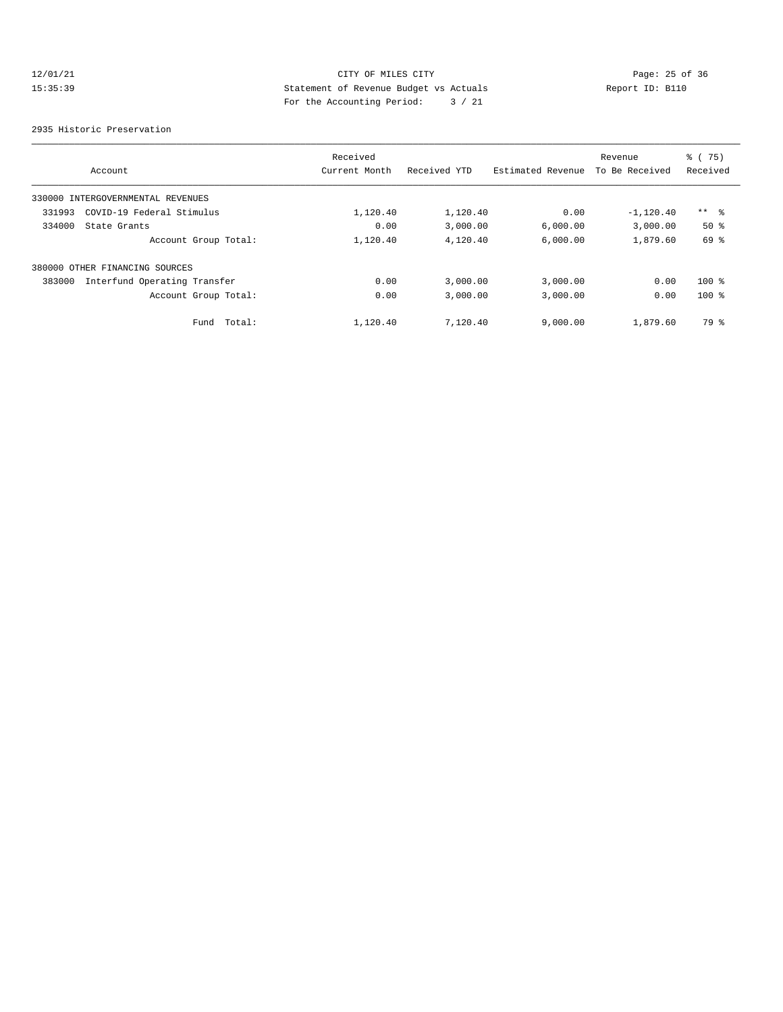# 12/01/21 CITY OF MILES CITY<br>15:35:39 Statement of Revenue Budget vs Actuals<br>15:35:39 Statement of Revenue Budget vs Actuals 15:35:39 Statement of Revenue Budget vs Actuals Report ID: B110 For the Accounting Period: 3 / 21

2935 Historic Preservation

|        | Account                           | Received<br>Current Month | Received YTD | Estimated Revenue | Revenue<br>To Be Received | % (75)<br>Received |
|--------|-----------------------------------|---------------------------|--------------|-------------------|---------------------------|--------------------|
|        | 330000 INTERGOVERNMENTAL REVENUES |                           |              |                   |                           |                    |
| 331993 | COVID-19 Federal Stimulus         | 1,120.40                  | 1,120.40     | 0.00              | $-1,120.40$               | $***$ %            |
| 334000 | State Grants                      | 0.00                      | 3,000.00     | 6.000.00          | 3,000.00                  | $50*$              |
|        | Account Group Total:              | 1,120.40                  | 4,120.40     | 6,000.00          | 1,879.60                  | 69 %               |
|        | 380000 OTHER FINANCING SOURCES    |                           |              |                   |                           |                    |
| 383000 | Interfund Operating Transfer      | 0.00                      | 3,000.00     | 3,000.00          | 0.00                      | $100$ %            |
|        | Account Group Total:              | 0.00                      | 3,000.00     | 3,000.00          | 0.00                      | $100$ %            |
|        | Total:<br>Fund                    | 1,120.40                  | 7,120.40     | 9,000.00          | 1,879.60                  | 79 %               |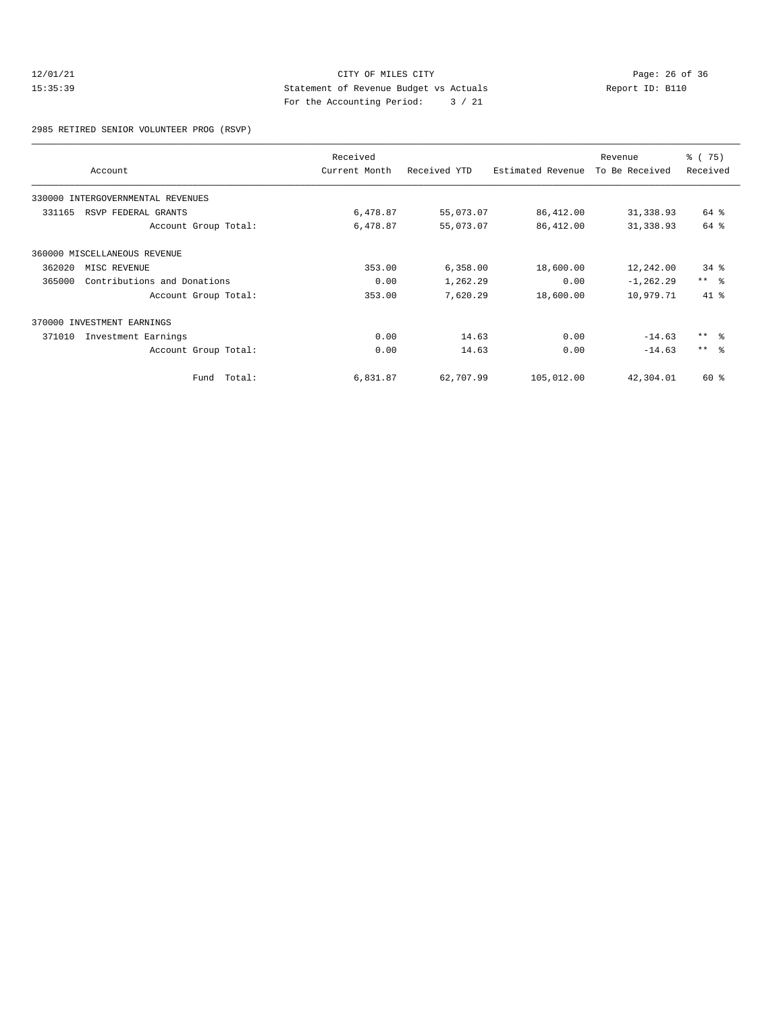#### 12/01/21 Page: 26 of 36<br>15:35:39 Statement of Revenue Budget vs Actuals Report ID: B110<br>15:35:39 15:35:39 Statement of Revenue Budget vs Actuals Report ID: B110 For the Accounting Period: 3 / 21

2985 RETIRED SENIOR VOLUNTEER PROG (RSVP)

|        | Account                           | Received<br>Current Month | Received YTD | Estimated Revenue | Revenue<br>To Be Received | % (75)<br>Received      |
|--------|-----------------------------------|---------------------------|--------------|-------------------|---------------------------|-------------------------|
|        | 330000 INTERGOVERNMENTAL REVENUES |                           |              |                   |                           |                         |
| 331165 | RSVP FEDERAL GRANTS               | 6,478.87                  | 55,073.07    | 86,412.00         | 31,338.93                 | 64 %                    |
|        | Account Group Total:              | 6,478.87                  | 55,073.07    | 86,412.00         | 31,338.93                 | 64 %                    |
|        | 360000 MISCELLANEOUS REVENUE      |                           |              |                   |                           |                         |
| 362020 | MISC REVENUE                      | 353.00                    | 6,358.00     | 18,600.00         | 12,242.00                 | $34*$                   |
| 365000 | Contributions and Donations       | 0.00                      | 1,262.29     | 0.00              | $-1, 262.29$              | $***$ $ -$              |
|        | Account Group Total:              | 353.00                    | 7,620.29     | 18,600.00         | 10,979.71                 | $41*$                   |
|        | 370000 INVESTMENT EARNINGS        |                           |              |                   |                           |                         |
| 371010 | Investment Earnings               | 0.00                      | 14.63        | 0.00              | $-14.63$                  | $***$ $=$ $\frac{6}{5}$ |
|        | Account Group Total:              | 0.00                      | 14.63        | 0.00              | $-14.63$                  | $***$ $=$               |
|        | Fund Total:                       | 6,831.87                  | 62,707.99    | 105,012.00        | 42,304.01                 | 60 %                    |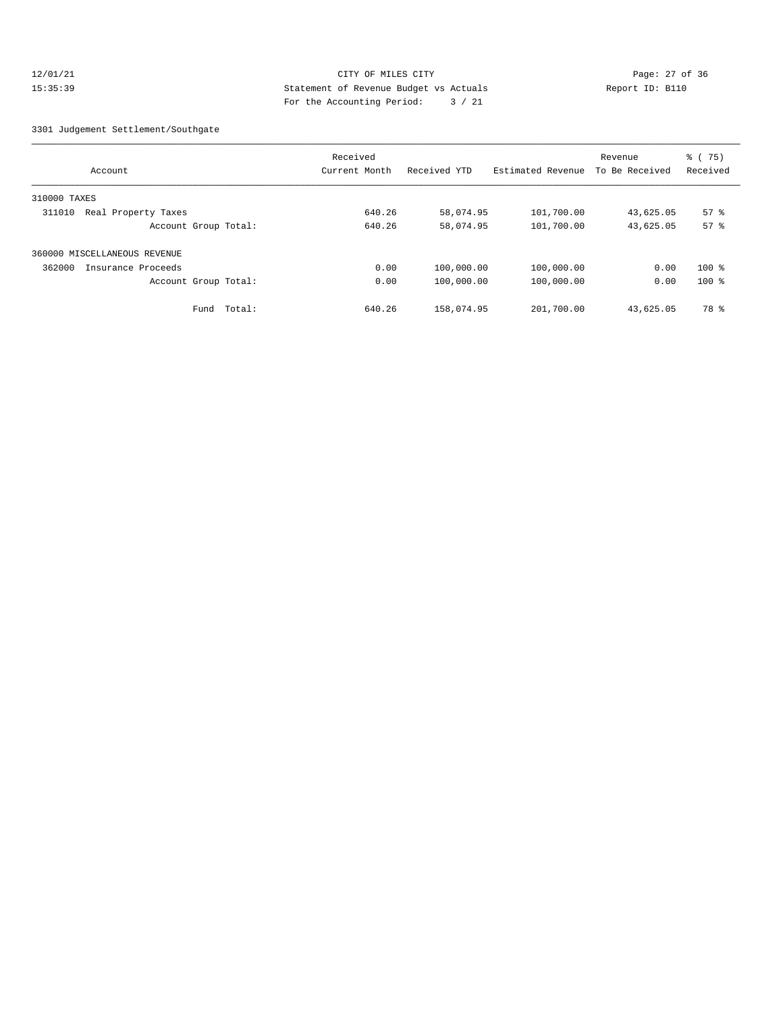#### 12/01/21 Page: 27 of 36 Page: 27 of 36 Page: 27 of 36 Page: 27 of 36 Page: 27 of 36 15:35:39 Statement of Revenue Budget vs Actuals Report ID: B110 For the Accounting Period: 3 / 21

#### 3301 Judgement Settlement/Southgate

|                               | Received      |              |                   | Revenue        | $\frac{1}{6}$ (75) |
|-------------------------------|---------------|--------------|-------------------|----------------|--------------------|
| Account                       | Current Month | Received YTD | Estimated Revenue | To Be Received | Received           |
| 310000 TAXES                  |               |              |                   |                |                    |
| Real Property Taxes<br>311010 | 640.26        | 58,074.95    | 101,700.00        | 43,625.05      | $57$ $%$           |
| Account Group Total:          | 640.26        | 58,074.95    | 101,700.00        | 43,625.05      | 57 <sup>8</sup>    |
| 360000 MISCELLANEOUS REVENUE  |               |              |                   |                |                    |
| 362000<br>Insurance Proceeds  | 0.00          | 100,000.00   | 100,000.00        | 0.00           | $100$ %            |
| Account Group Total:          | 0.00          | 100,000.00   | 100,000.00        | 0.00           | $100$ %            |
| Total:<br>Fund                | 640.26        | 158,074.95   | 201,700.00        | 43,625.05      | 78 %               |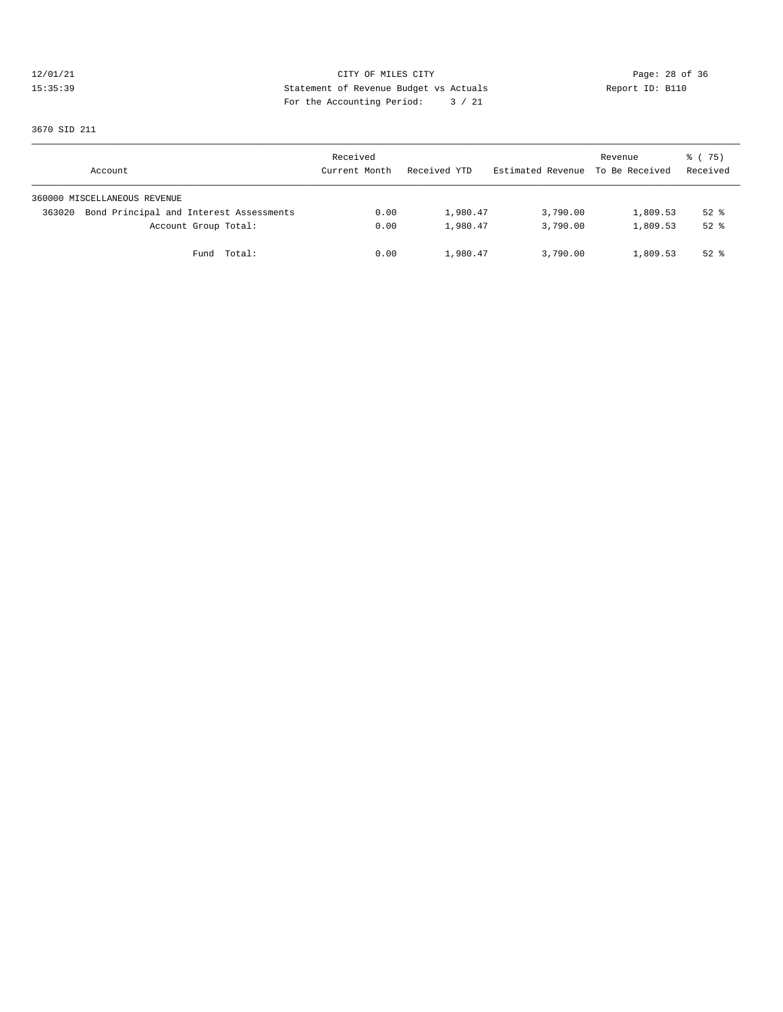# 12/01/21 CITY OF MILES CITY CONTRIBUTE CONTRIBUTE CONTRIBUTE CONTRIBUTE CONTRIBUTE CONTRIBUTE CONTRIBUTE CONTR<br>15:35:39 Statement of Revenue Budget vs Actuals Report ID: B110 15:35:39 Statement of Revenue Budget vs Actuals Report ID: B110 For the Accounting Period: 3 / 21

3670 SID 211

| Account                                           | Received<br>Current Month | Received YTD | Estimated Revenue To Be Received | Revenue  | 8 (75)<br>Received |
|---------------------------------------------------|---------------------------|--------------|----------------------------------|----------|--------------------|
| 360000 MISCELLANEOUS REVENUE                      |                           |              |                                  |          |                    |
| Bond Principal and Interest Assessments<br>363020 | 0.00                      | 1,980.47     | 3,790.00                         | 1,809.53 | $52$ $%$           |
| Account Group Total:                              | 0.00                      | 1,980.47     | 3,790.00                         | 1,809.53 | $52$ $%$           |
| Fund Total:                                       | 0.00                      | 1,980.47     | 3,790.00                         | 1,809.53 | $52$ $%$           |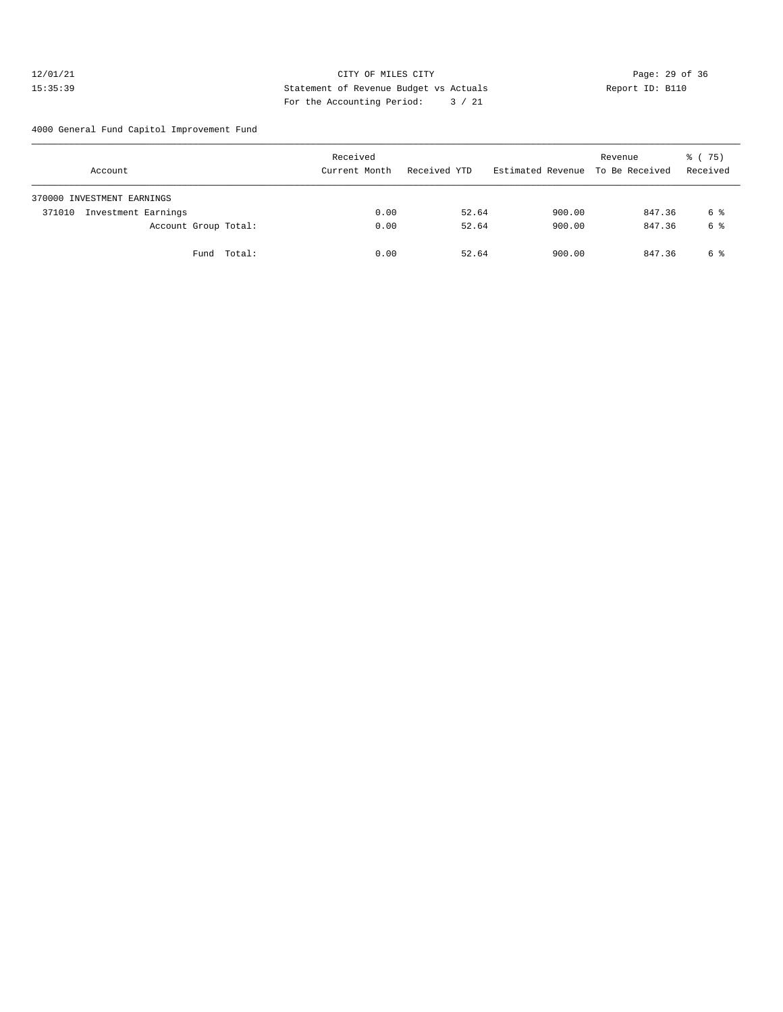#### 12/01/21 **CITY OF MILES CITY CITY CITY Page: 29 of 36** 15:35:39 Statement of Revenue Budget vs Actuals Report ID: B110 For the Accounting Period: 3 / 21

4000 General Fund Capitol Improvement Fund

| Account                       |        | Received<br>Current Month | Received YTD | Estimated Revenue To Be Received | Revenue | % (75)<br>Received |
|-------------------------------|--------|---------------------------|--------------|----------------------------------|---------|--------------------|
| 370000 INVESTMENT EARNINGS    |        |                           |              |                                  |         |                    |
| Investment Earnings<br>371010 |        | 0.00                      | 52.64        | 900.00                           | 847.36  | 6 %                |
| Account Group Total:          |        | 0.00                      | 52.64        | 900.00                           | 847.36  | 6 %                |
| Fund                          | Total: | 0.00                      | 52.64        | 900.00                           | 847.36  | 6 %                |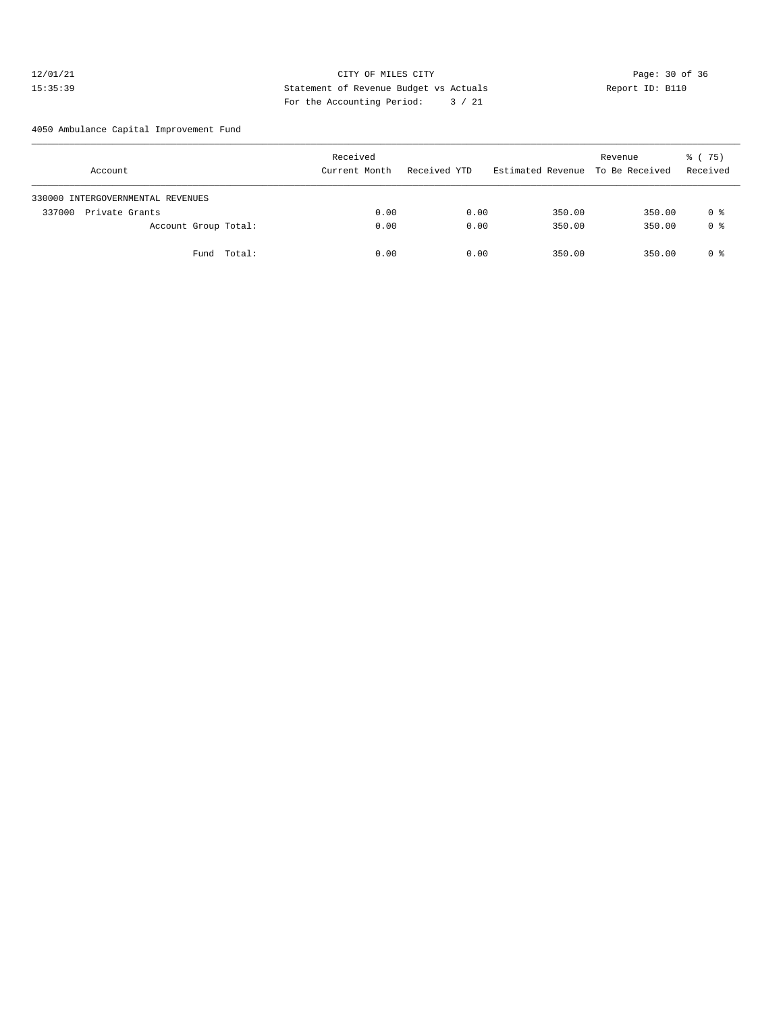#### 12/01/21 Page: 30 of 36 Page: 30 of 36 Page: 30 of 36 Page: 30 of 36 Page: 30 of 36 Page: 30 of 36 Page: 30 of 36 15:35:39 Statement of Revenue Budget vs Actuals Report ID: B110 For the Accounting Period: 3 / 21

4050 Ambulance Capital Improvement Fund

| Account                           | Received<br>Current Month | Received YTD | Estimated Revenue To Be Received | Revenue | 8 (75)<br>Received |
|-----------------------------------|---------------------------|--------------|----------------------------------|---------|--------------------|
| 330000 INTERGOVERNMENTAL REVENUES |                           |              |                                  |         |                    |
| 337000<br>Private Grants          | 0.00                      | 0.00         | 350.00                           | 350.00  | 0 %                |
| Account Group Total:              | 0.00                      | 0.00         | 350.00                           | 350.00  | 0 %                |
| Fund Total:                       | 0.00                      | 0.00         | 350.00                           | 350.00  | 0 %                |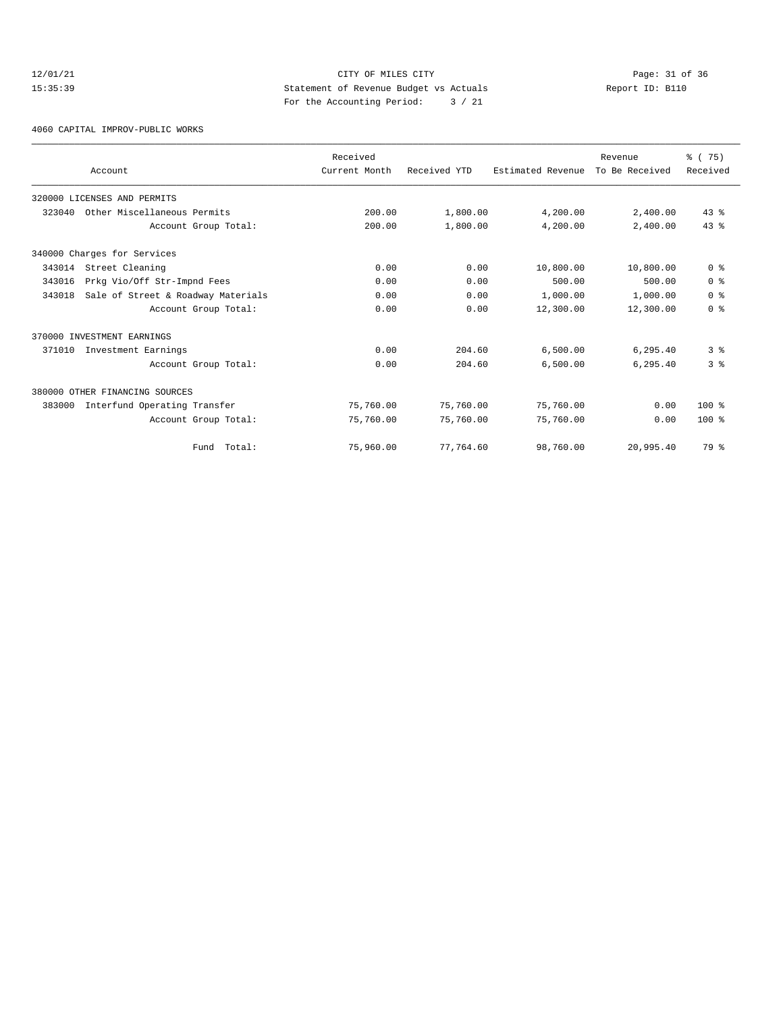# 12/01/21 Page: 31 of 36<br>15:35:39 Statement of Revenue Budget vs Actuals Report ID: B110<br>15:35:39 15:35:39 Statement of Revenue Budget vs Actuals Report ID: B110 For the Accounting Period: 3 / 21

4060 CAPITAL IMPROV-PUBLIC WORKS

| Account                                      |                      | Received<br>Current Month | Received YTD | Estimated Revenue | Revenue<br>To Be Received | % (75)<br>Received |
|----------------------------------------------|----------------------|---------------------------|--------------|-------------------|---------------------------|--------------------|
| 320000 LICENSES AND PERMITS                  |                      |                           |              |                   |                           |                    |
| Other Miscellaneous Permits<br>323040        |                      | 200.00                    | 1,800.00     | 4,200.00          | 2,400.00                  | $43*$              |
|                                              | Account Group Total: | 200.00                    | 1,800.00     | 4,200.00          | 2,400.00                  | 43.8               |
| 340000 Charges for Services                  |                      |                           |              |                   |                           |                    |
| 343014<br>Street Cleaning                    |                      | 0.00                      | 0.00         | 10,800.00         | 10,800.00                 | 0 <sup>8</sup>     |
| Prkg Vio/Off Str-Impnd Fees<br>343016        |                      | 0.00                      | 0.00         | 500.00            | 500.00                    | 0 <sup>8</sup>     |
| Sale of Street & Roadway Materials<br>343018 |                      | 0.00                      | 0.00         | 1,000.00          | 1,000.00                  | 0 <sup>8</sup>     |
|                                              | Account Group Total: | 0.00                      | 0.00         | 12,300.00         | 12,300.00                 | 0 <sup>8</sup>     |
| 370000 INVESTMENT EARNINGS                   |                      |                           |              |                   |                           |                    |
| Investment Earnings<br>371010                |                      | 0.00                      | 204.60       | 6,500.00          | 6,295.40                  | 3 <sup>8</sup>     |
|                                              | Account Group Total: | 0.00                      | 204.60       | 6,500.00          | 6,295.40                  | 3 <sup>8</sup>     |
| 380000 OTHER FINANCING SOURCES               |                      |                           |              |                   |                           |                    |
| Interfund Operating Transfer<br>383000       |                      | 75,760.00                 | 75,760.00    | 75,760.00         | 0.00                      | $100*$             |
|                                              | Account Group Total: | 75,760.00                 | 75,760.00    | 75,760.00         | 0.00                      | $100*$             |
|                                              | Fund Total:          | 75,960.00                 | 77,764.60    | 98,760.00         | 20,995.40                 | 79 %               |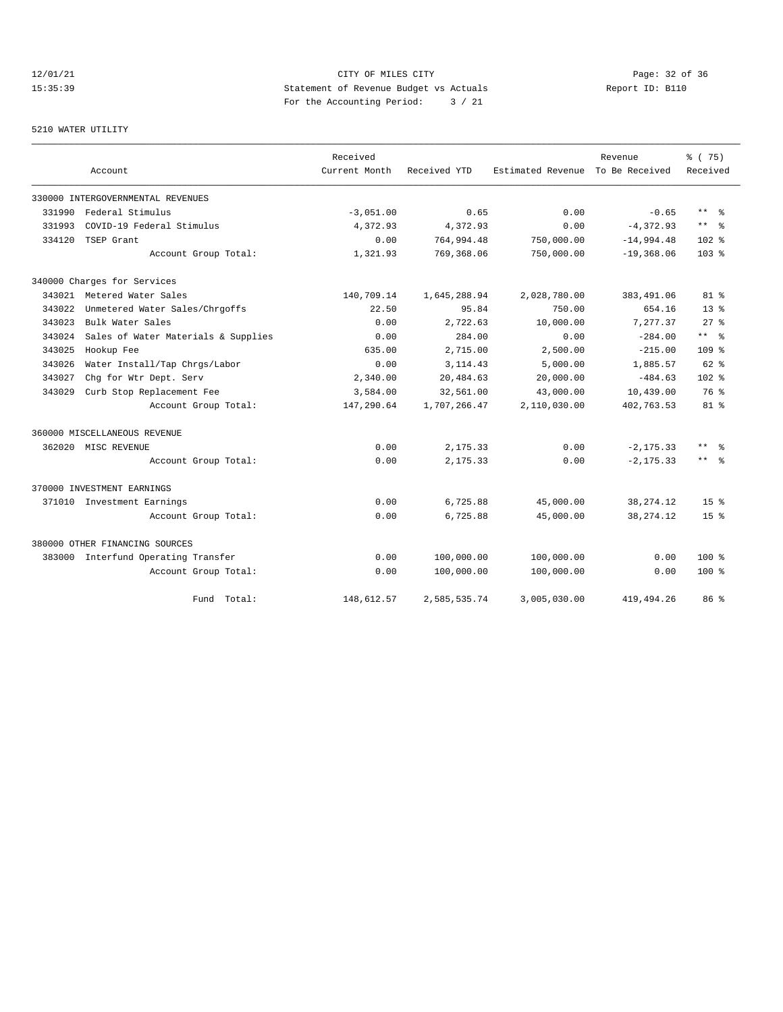12/01/21 Page: 32 of 36 15:35:39 Statement of Revenue Budget vs Actuals Report ID: B110 For the Accounting Period: 3 / 21

#### 5210 WATER UTILITY

|        |                                     | Received      |              |                   | Revenue        | % (75)           |
|--------|-------------------------------------|---------------|--------------|-------------------|----------------|------------------|
|        | Account                             | Current Month | Received YTD | Estimated Revenue | To Be Received | Received         |
|        | 330000 INTERGOVERNMENTAL REVENUES   |               |              |                   |                |                  |
| 331990 | Federal Stimulus                    | $-3,051.00$   | 0.65         | 0.00              | $-0.65$        | $***$ %          |
| 331993 | COVID-19 Federal Stimulus           | 4,372.93      | 4,372.93     | 0.00              | $-4,372.93$    | $***$ 8          |
| 334120 | TSEP Grant                          | 0.00          | 764,994.48   | 750,000.00        | $-14,994.48$   | $102*$           |
|        | Account Group Total:                | 1,321.93      | 769,368.06   | 750,000.00        | $-19,368.06$   | 103 <sub>8</sub> |
|        | 340000 Charges for Services         |               |              |                   |                |                  |
|        | 343021 Metered Water Sales          | 140,709.14    | 1,645,288.94 | 2,028,780.00      | 383,491.06     | $81*$            |
| 343022 | Unmetered Water Sales/Chrgoffs      | 22.50         | 95.84        | 750.00            | 654.16         | $13*$            |
| 343023 | Bulk Water Sales                    | 0.00          | 2.722.63     | 10,000.00         | 7,277.37       | $27$ $%$         |
| 343024 | Sales of Water Materials & Supplies | 0.00          | 284.00       | 0.00              | $-284.00$      | $***$ %          |
| 343025 | Hookup Fee                          | 635.00        | 2,715.00     | 2,500.00          | $-215.00$      | 109 <sub>8</sub> |
| 343026 | Water Install/Tap Chrgs/Labor       | 0.00          | 3, 114.43    | 5,000.00          | 1,885.57       | $62*$            |
| 343027 | Chg for Wtr Dept. Serv              | 2,340.00      | 20,484.63    | 20,000.00         | $-484.63$      | 102 <sub>8</sub> |
| 343029 | Curb Stop Replacement Fee           | 3,584.00      | 32,561.00    | 43,000.00         | 10,439.00      | 76 %             |
|        | Account Group Total:                | 147,290.64    | 1,707,266.47 | 2,110,030.00      | 402,763.53     | $81*$            |
|        | 360000 MISCELLANEOUS REVENUE        |               |              |                   |                |                  |
|        | 362020 MISC REVENUE                 | 0.00          | 2,175.33     | 0.00              | $-2, 175.33$   | $***$ 2          |
|        | Account Group Total:                | 0.00          | 2,175.33     | 0.00              | $-2, 175.33$   | $***$ $ -$       |
|        | 370000 INVESTMENT EARNINGS          |               |              |                   |                |                  |
|        | 371010 Investment Earnings          | 0.00          | 6,725.88     | 45,000.00         | 38, 274. 12    | 15 <sup>8</sup>  |
|        | Account Group Total:                | 0.00          | 6,725.88     | 45,000.00         | 38, 274. 12    | $15*$            |
|        | 380000 OTHER FINANCING SOURCES      |               |              |                   |                |                  |
|        | 383000 Interfund Operating Transfer | 0.00          | 100,000.00   | 100,000.00        | 0.00           | $100*$           |
|        | Account Group Total:                | 0.00          | 100,000.00   | 100,000.00        | 0.00           | $100*$           |
|        | Fund Total:                         | 148,612.57    | 2,585,535.74 | 3,005,030.00      | 419, 494.26    | 86 %             |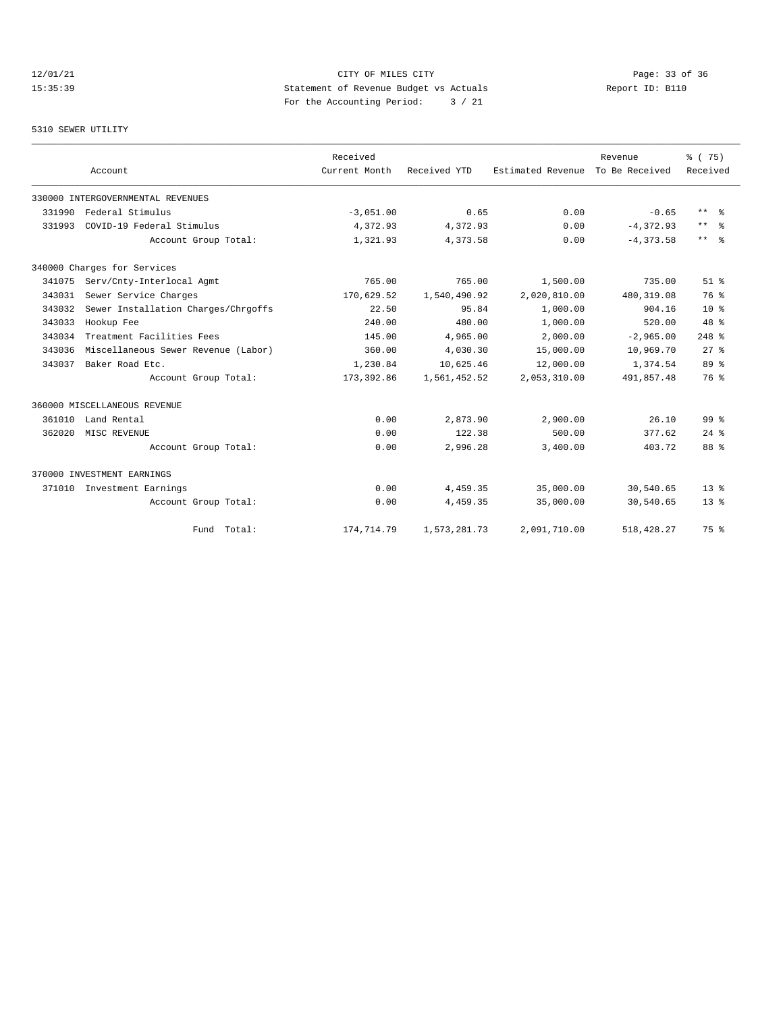# 12/01/21 Page: 33 of 36 Page: 33 of 36 Page: 33 of 36 Page: 33 of 36 Page: 33 of 36 Page: 33 Of 36 Page: 33 Of 36 15:35:39 Statement of Revenue Budget vs Actuals Report ID: B110 For the Accounting Period: 3 / 21

#### 5310 SEWER UTILITY

|        | Account                             | Received<br>Current Month | Received YTD | Estimated Revenue | Revenue<br>To Be Received | % (75)<br>Received      |
|--------|-------------------------------------|---------------------------|--------------|-------------------|---------------------------|-------------------------|
|        | 330000 INTERGOVERNMENTAL REVENUES   |                           |              |                   |                           |                         |
| 331990 | Federal Stimulus                    | $-3,051.00$               | 0.65         | 0.00              | $-0.65$                   | $***$ $=$ $\frac{6}{5}$ |
| 331993 | COVID-19 Federal Stimulus           | 4,372.93                  | 4,372.93     | 0.00              | $-4, 372.93$              | $***$ $%$               |
|        | Account Group Total:                | 1,321.93                  | 4,373.58     | 0.00              | $-4.373.58$               | $***$ $=$ $\frac{6}{3}$ |
|        | 340000 Charges for Services         |                           |              |                   |                           |                         |
| 341075 | Serv/Cnty-Interlocal Agmt           | 765.00                    | 765.00       | 1,500.00          | 735.00                    | $51$ $%$                |
| 343031 | Sewer Service Charges               | 170,629.52                | 1,540,490.92 | 2,020,810.00      | 480, 319.08               | 76 %                    |
| 343032 | Sewer Installation Charges/Chrgoffs | 22.50                     | 95.84        | 1,000.00          | 904.16                    | $10*$                   |
| 343033 | Hookup Fee                          | 240.00                    | 480.00       | 1,000.00          | 520.00                    | $48*$                   |
| 343034 | Treatment Facilities Fees           | 145.00                    | 4,965.00     | 2,000.00          | $-2,965.00$               | $248$ %                 |
| 343036 | Miscellaneous Sewer Revenue (Labor) | 360.00                    | 4,030.30     | 15,000.00         | 10,969.70                 | $27$ $%$                |
| 343037 | Baker Road Etc.                     | 1,230.84                  | 10,625.46    | 12,000.00         | 1,374.54                  | 89 %                    |
|        | Account Group Total:                | 173,392.86                | 1,561,452.52 | 2,053,310.00      | 491,857.48                | 76 %                    |
|        | 360000 MISCELLANEOUS REVENUE        |                           |              |                   |                           |                         |
| 361010 | Land Rental                         | 0.00                      | 2,873.90     | 2,900.00          | 26.10                     | 99 <sup>8</sup>         |
| 362020 | MISC REVENUE                        | 0.00                      | 122.38       | 500.00            | 377.62                    | $24$ $%$                |
|        | Account Group Total:                | 0.00                      | 2,996.28     | 3,400.00          | 403.72                    | 88 %                    |
|        | 370000 INVESTMENT EARNINGS          |                           |              |                   |                           |                         |
| 371010 | Investment Earnings                 | 0.00                      | 4,459.35     | 35,000.00         | 30,540.65                 | 13 <sup>8</sup>         |
|        | Account Group Total:                | 0.00                      | 4,459.35     | 35,000.00         | 30,540.65                 | $13*$                   |
|        | Fund Total:                         | 174,714.79                | 1,573,281.73 | 2,091,710.00      | 518, 428.27               | 75 %                    |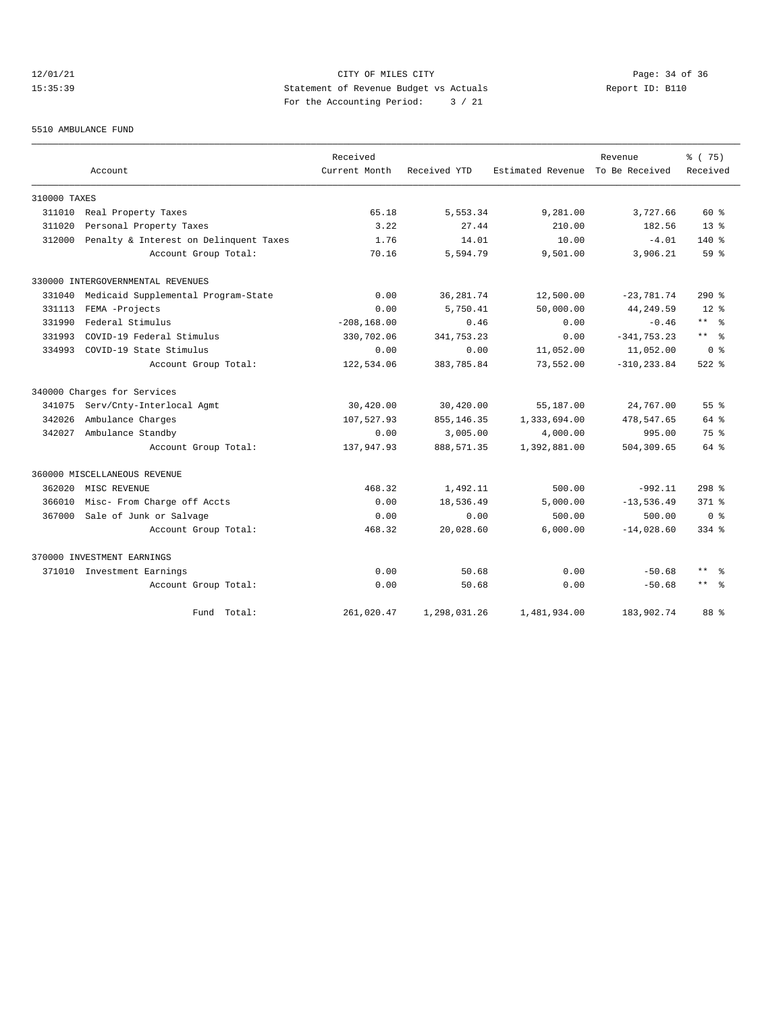# 12/01/21 Page: 34 of 36 15:35:39 Statement of Revenue Budget vs Actuals Report ID: B110 For the Accounting Period: 3 / 21

#### 5510 AMBULANCE FUND

|              |                                        | Received       |              |                   | Revenue        | % (75)              |
|--------------|----------------------------------------|----------------|--------------|-------------------|----------------|---------------------|
|              | Account                                | Current Month  | Received YTD | Estimated Revenue | To Be Received | Received            |
| 310000 TAXES |                                        |                |              |                   |                |                     |
| 311010       | Real Property Taxes                    | 65.18          | 5,553.34     | 9,281.00          | 3,727.66       | $60*$               |
| 311020       | Personal Property Taxes                | 3.22           | 27.44        | 210.00            | 182.56         | $13*$               |
| 312000       | Penalty & Interest on Delinquent Taxes | 1.76           | 14.01        | 10.00             | $-4.01$        | $140*$              |
|              | Account Group Total:                   | 70.16          | 5,594.79     | 9,501.00          | 3,906.21       | $59*$               |
|              | 330000 INTERGOVERNMENTAL REVENUES      |                |              |                   |                |                     |
| 331040       | Medicaid Supplemental Program-State    | 0.00           | 36, 281.74   | 12,500.00         | $-23,781.74$   | $290$ %             |
| 331113       | FEMA -Projects                         | 0.00           | 5,750.41     | 50,000.00         | 44,249.59      | $12*$               |
| 331990       | Federal Stimulus                       | $-208, 168.00$ | 0.46         | 0.00              | $-0.46$        | $***$ %             |
| 331993       | COVID-19 Federal Stimulus              | 330,702.06     | 341,753.23   | 0.00              | $-341, 753.23$ | $\star\star$<br>ം ക |
| 334993       | COVID-19 State Stimulus                | 0.00           | 0.00         | 11,052.00         | 11,052.00      | 0 <sup>8</sup>      |
|              | Account Group Total:                   | 122,534.06     | 383,785.84   | 73,552.00         | $-310, 233.84$ | $522$ $%$           |
|              | 340000 Charges for Services            |                |              |                   |                |                     |
| 341075       | Serv/Cnty-Interlocal Agmt              | 30,420.00      | 30,420.00    | 55,187.00         | 24,767.00      | 55 <sup>8</sup>     |
| 342026       | Ambulance Charges                      | 107,527.93     | 855, 146.35  | 1,333,694.00      | 478,547.65     | $64$ $%$            |
| 342027       | Ambulance Standby                      | 0.00           | 3,005.00     | 4,000.00          | 995.00         | 75 %                |
|              | Account Group Total:                   | 137,947.93     | 888, 571.35  | 1,392,881.00      | 504,309.65     | $64$ $%$            |
|              | 360000 MISCELLANEOUS REVENUE           |                |              |                   |                |                     |
| 362020       | MISC REVENUE                           | 468.32         | 1,492.11     | 500.00            | $-992.11$      | $298$ %             |
| 366010       | Misc- From Charge off Accts            | 0.00           | 18,536.49    | 5,000.00          | $-13,536.49$   | $371$ $%$           |
| 367000       | Sale of Junk or Salvage                | 0.00           | 0.00         | 500.00            | 500.00         | ი ჵ                 |
|              | Account Group Total:                   | 468.32         | 20,028.60    | 6,000.00          | $-14,028.60$   | $334$ $%$           |
|              | 370000 INVESTMENT EARNINGS             |                |              |                   |                |                     |
|              | 371010 Investment Earnings             | 0.00           | 50.68        | 0.00              | $-50.68$       | $***$<br>- 왕        |
|              | Account Group Total:                   | 0.00           | 50.68        | 0.00              | $-50.68$       | $\star\star$<br>- 옹 |
|              | Fund Total:                            | 261,020.47     | 1,298,031.26 | 1,481,934.00      | 183,902.74     | 88 %                |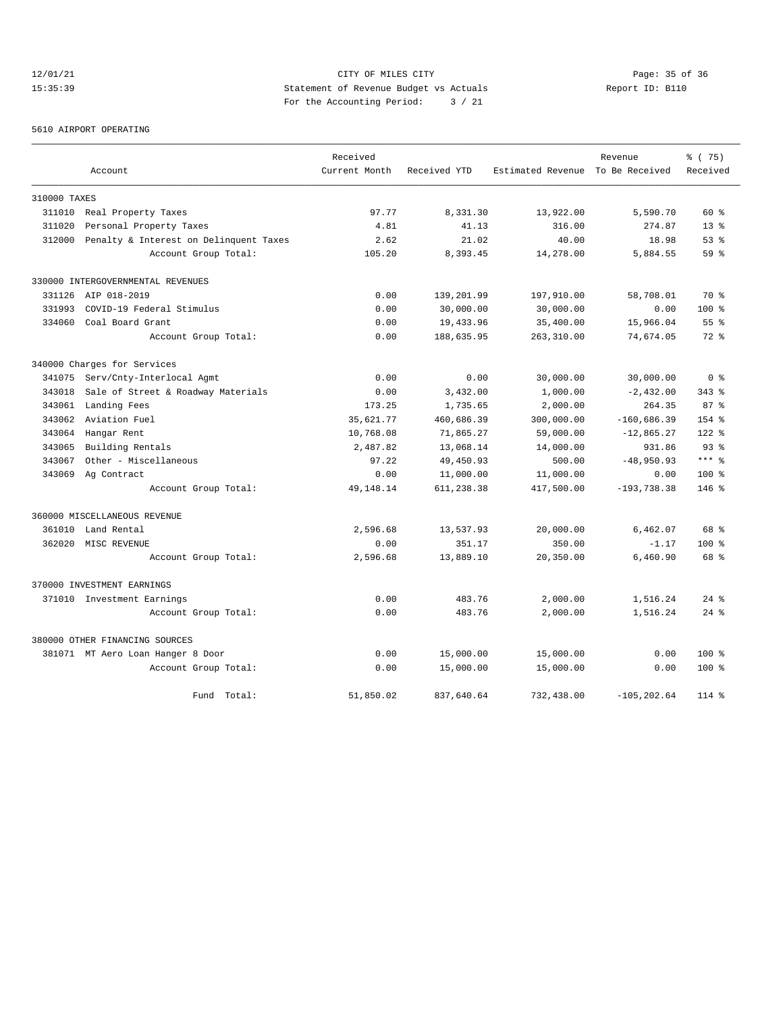# 12/01/21 Page: 35 of 36 Page: 35 of 36 Page: 35 of 36 Page: 35 of 36 Page: 35 of 36 Page: 35 Of 36 15:35:39 Statement of Revenue Budget vs Actuals Report ID: B110 For the Accounting Period: 3 / 21

#### 5610 AIRPORT OPERATING

|              |                                        | Received      |              |                                  | Revenue        | % (75)          |
|--------------|----------------------------------------|---------------|--------------|----------------------------------|----------------|-----------------|
|              | Account                                | Current Month | Received YTD | Estimated Revenue To Be Received |                | Received        |
| 310000 TAXES |                                        |               |              |                                  |                |                 |
|              | 311010 Real Property Taxes             | 97.77         | 8,331.30     | 13,922.00                        | 5,590.70       | $60*$           |
| 311020       | Personal Property Taxes                | 4.81          | 41.13        | 316.00                           | 274.87         | $13*$           |
| 312000       | Penalty & Interest on Delinquent Taxes | 2.62          | 21.02        | 40.00                            | 18.98          | 53%             |
|              | Account Group Total:                   | 105.20        | 8,393.45     | 14,278.00                        | 5,884.55       | 59 <sup>8</sup> |
|              | 330000 INTERGOVERNMENTAL REVENUES      |               |              |                                  |                |                 |
|              | 331126 AIP 018-2019                    | 0.00          | 139,201.99   | 197,910.00                       | 58,708.01      | 70 %            |
| 331993       | COVID-19 Federal Stimulus              | 0.00          | 30,000.00    | 30,000.00                        | 0.00           | 100 %           |
| 334060       | Coal Board Grant                       | 0.00          | 19,433.96    | 35,400.00                        | 15,966.04      | 55 <sup>8</sup> |
|              | Account Group Total:                   | 0.00          | 188,635.95   | 263,310.00                       | 74,674.05      | $72*$           |
|              | 340000 Charges for Services            |               |              |                                  |                |                 |
| 341075       | Serv/Cnty-Interlocal Agmt              | 0.00          | 0.00         | 30,000.00                        | 30,000.00      | 0 <sup>8</sup>  |
| 343018       | Sale of Street & Roadway Materials     | 0.00          | 3,432.00     | 1,000.00                         | $-2,432.00$    | $343$ $%$       |
| 343061       | Landing Fees                           | 173.25        | 1,735.65     | 2,000.00                         | 264.35         | 87 <sup>8</sup> |
| 343062       | Aviation Fuel                          | 35,621.77     | 460,686.39   | 300,000.00                       | $-160,686.39$  | $154$ %         |
| 343064       | Hangar Rent                            | 10,768.08     | 71,865.27    | 59,000.00                        | $-12,865.27$   | $122$ %         |
| 343065       | Building Rentals                       | 2,487.82      | 13,068.14    | 14,000.00                        | 931.86         | 93 <sup>8</sup> |
| 343067       | Other - Miscellaneous                  | 97.22         | 49,450.93    | 500.00                           | $-48,950.93$   | $***$ %         |
| 343069       | Ag Contract                            | 0.00          | 11,000.00    | 11,000.00                        | 0.00           | 100 %           |
|              | Account Group Total:                   | 49, 148. 14   | 611,238.38   | 417,500.00                       | $-193,738.38$  | $146$ %         |
|              | 360000 MISCELLANEOUS REVENUE           |               |              |                                  |                |                 |
|              | 361010 Land Rental                     | 2,596.68      | 13,537.93    | 20,000.00                        | 6,462.07       | 68 %            |
|              | 362020 MISC REVENUE                    | 0.00          | 351.17       | 350.00                           | $-1.17$        | $100$ %         |
|              | Account Group Total:                   | 2,596.68      | 13,889.10    | 20,350.00                        | 6,460.90       | 68 %            |
|              | 370000 INVESTMENT EARNINGS             |               |              |                                  |                |                 |
|              | 371010 Investment Earnings             | 0.00          | 483.76       | 2,000.00                         | 1,516.24       | $24$ $%$        |
|              | Account Group Total:                   | 0.00          | 483.76       | 2,000.00                         | 1,516.24       | $24$ $%$        |
|              | 380000 OTHER FINANCING SOURCES         |               |              |                                  |                |                 |
|              | 381071 MT Aero Loan Hanger 8 Door      | 0.00          | 15,000.00    | 15,000.00                        | 0.00           | 100 %           |
|              | Account Group Total:                   | 0.00          | 15,000.00    | 15,000.00                        | 0.00           | 100 %           |
|              | Fund Total:                            | 51,850.02     | 837,640.64   | 732,438.00                       | $-105, 202.64$ | $114$ %         |